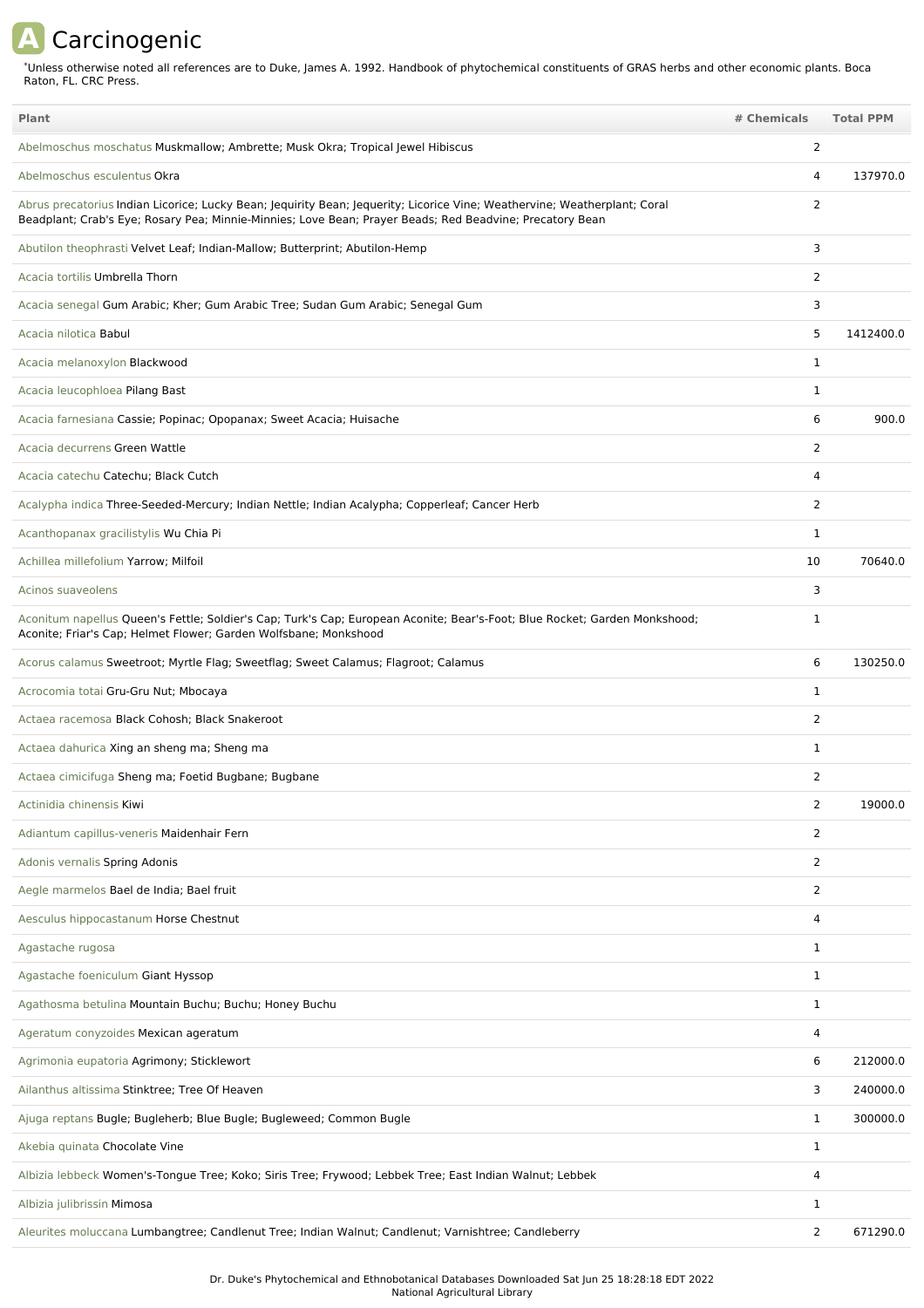## **A** Carcinogenic

Unless otherwise noted all references are to Duke, James A. 1992. Handbook of phytochemical constituents of GRAS herbs and other economic plants. Boca Raton, FL. CRC Press. \*

| <b>Plant</b>                                                                                                                                                                                                                          | # Chemicals    | <b>Total PPM</b> |
|---------------------------------------------------------------------------------------------------------------------------------------------------------------------------------------------------------------------------------------|----------------|------------------|
| Abelmoschus moschatus Muskmallow; Ambrette; Musk Okra; Tropical Jewel Hibiscus                                                                                                                                                        | 2              |                  |
| Abelmoschus esculentus Okra                                                                                                                                                                                                           | 4              | 137970.0         |
| Abrus precatorius Indian Licorice; Lucky Bean; Jequirity Bean; Jequerity; Licorice Vine; Weathervine; Weatherplant; Coral<br>Beadplant; Crab's Eye; Rosary Pea; Minnie-Minnies; Love Bean; Prayer Beads; Red Beadvine; Precatory Bean | 2              |                  |
| Abutilon theophrasti Velvet Leaf; Indian-Mallow; Butterprint; Abutilon-Hemp                                                                                                                                                           | 3              |                  |
| Acacia tortilis Umbrella Thorn                                                                                                                                                                                                        | 2              |                  |
| Acacia senegal Gum Arabic; Kher; Gum Arabic Tree; Sudan Gum Arabic; Senegal Gum                                                                                                                                                       | 3              |                  |
| Acacia nilotica Babul                                                                                                                                                                                                                 | 5              | 1412400.0        |
| Acacia melanoxylon Blackwood                                                                                                                                                                                                          | 1              |                  |
| Acacia leucophloea Pilang Bast                                                                                                                                                                                                        | $\mathbf{1}$   |                  |
| Acacia farnesiana Cassie; Popinac; Opopanax; Sweet Acacia; Huisache                                                                                                                                                                   | 6              | 900.0            |
| Acacia decurrens Green Wattle                                                                                                                                                                                                         | 2              |                  |
| Acacia catechu Catechu; Black Cutch                                                                                                                                                                                                   | 4              |                  |
| Acalypha indica Three-Seeded-Mercury; Indian Nettle; Indian Acalypha; Copperleaf; Cancer Herb                                                                                                                                         | 2              |                  |
| Acanthopanax gracilistylis Wu Chia Pi                                                                                                                                                                                                 | $\mathbf{1}$   |                  |
| Achillea millefolium Yarrow; Milfoil                                                                                                                                                                                                  | 10             | 70640.0          |
| Acinos suaveolens                                                                                                                                                                                                                     | 3              |                  |
| Aconitum napellus Queen's Fettle; Soldier's Cap; Turk's Cap; European Aconite; Bear's-Foot; Blue Rocket; Garden Monkshood;<br>Aconite; Friar's Cap; Helmet Flower; Garden Wolfsbane; Monkshood                                        | $\mathbf{1}$   |                  |
| Acorus calamus Sweetroot; Myrtle Flag; Sweetflag; Sweet Calamus; Flagroot; Calamus                                                                                                                                                    | 6              | 130250.0         |
| Acrocomia totai Gru-Gru Nut; Mbocaya                                                                                                                                                                                                  | 1              |                  |
| Actaea racemosa Black Cohosh; Black Snakeroot                                                                                                                                                                                         | 2              |                  |
| Actaea dahurica Xing an sheng ma; Sheng ma                                                                                                                                                                                            | $\mathbf{1}$   |                  |
| Actaea cimicifuga Sheng ma; Foetid Bugbane; Bugbane                                                                                                                                                                                   | 2              |                  |
| Actinidia chinensis Kiwi                                                                                                                                                                                                              |                | 19000.0          |
| Adiantum capillus-veneris Maidenhair Fern                                                                                                                                                                                             | $\overline{2}$ |                  |
| Adonis vernalis Spring Adonis                                                                                                                                                                                                         | 2              |                  |
| Aegle marmelos Bael de India; Bael fruit                                                                                                                                                                                              | 2              |                  |
| Aesculus hippocastanum Horse Chestnut                                                                                                                                                                                                 | 4              |                  |
| Agastache rugosa                                                                                                                                                                                                                      | 1              |                  |
| Agastache foeniculum Giant Hyssop                                                                                                                                                                                                     | $\mathbf{1}$   |                  |
| Agathosma betulina Mountain Buchu; Buchu; Honey Buchu                                                                                                                                                                                 | $\mathbf{1}$   |                  |
| Ageratum conyzoides Mexican ageratum                                                                                                                                                                                                  | 4              |                  |
| Agrimonia eupatoria Agrimony; Sticklewort                                                                                                                                                                                             | 6              | 212000.0         |
| Ailanthus altissima Stinktree; Tree Of Heaven                                                                                                                                                                                         | 3              | 240000.0         |
| Ajuga reptans Bugle; Bugleherb; Blue Bugle; Bugleweed; Common Bugle                                                                                                                                                                   | $\mathbf{1}$   | 300000.0         |
| Akebia quinata Chocolate Vine                                                                                                                                                                                                         | $\mathbf{1}$   |                  |
| Albizia lebbeck Women's-Tongue Tree; Koko; Siris Tree; Frywood; Lebbek Tree; East Indian Walnut; Lebbek                                                                                                                               | 4              |                  |
| Albizia julibrissin Mimosa                                                                                                                                                                                                            | $\mathbf{1}$   |                  |
| Aleurites moluccana Lumbangtree; Candlenut Tree; Indian Walnut; Candlenut; Varnishtree; Candleberry                                                                                                                                   | 2              | 671290.0         |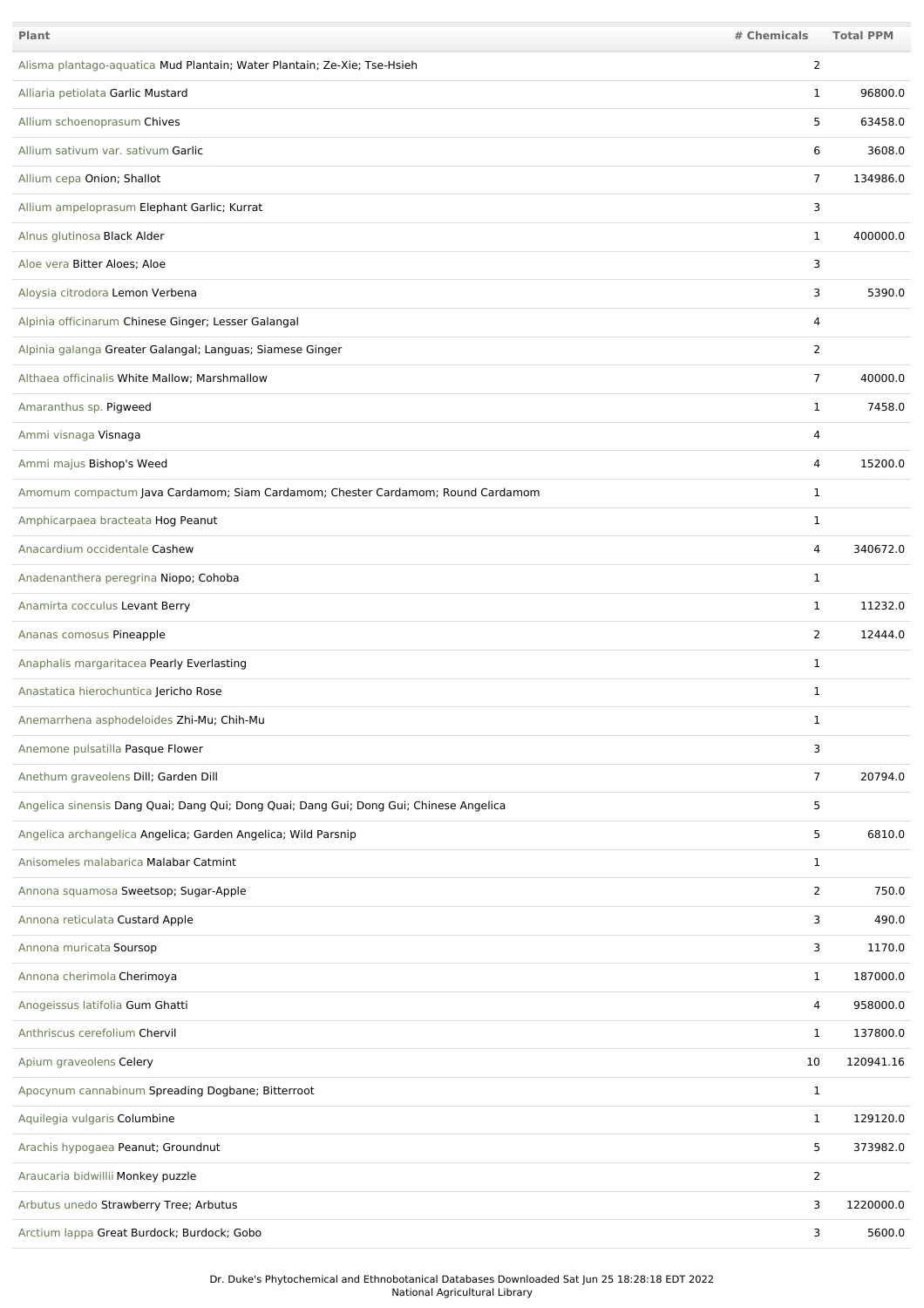| Plant                                                                                  | # Chemicals    | <b>Total PPM</b> |
|----------------------------------------------------------------------------------------|----------------|------------------|
| Alisma plantago-aquatica Mud Plantain; Water Plantain; Ze-Xie; Tse-Hsieh               | 2              |                  |
| Alliaria petiolata Garlic Mustard                                                      | 1              | 96800.0          |
| Allium schoenoprasum Chives                                                            | 5              | 63458.0          |
| Allium sativum var. sativum Garlic                                                     | 6              | 3608.0           |
| Allium cepa Onion; Shallot                                                             | $\overline{7}$ | 134986.0         |
| Allium ampeloprasum Elephant Garlic; Kurrat                                            | 3              |                  |
| Alnus glutinosa Black Alder                                                            | $\mathbf 1$    | 400000.0         |
| Aloe vera Bitter Aloes; Aloe                                                           | 3              |                  |
| Aloysia citrodora Lemon Verbena                                                        | 3              | 5390.0           |
| Alpinia officinarum Chinese Ginger; Lesser Galangal                                    | 4              |                  |
| Alpinia galanga Greater Galangal; Languas; Siamese Ginger                              | 2              |                  |
| Althaea officinalis White Mallow; Marshmallow                                          | 7              | 40000.0          |
| Amaranthus sp. Pigweed                                                                 | 1              | 7458.0           |
| Ammi visnaga Visnaga                                                                   | $\overline{4}$ |                  |
| Ammi majus Bishop's Weed                                                               | 4              | 15200.0          |
| Amomum compactum Java Cardamom; Siam Cardamom; Chester Cardamom; Round Cardamom        | 1              |                  |
| Amphicarpaea bracteata Hog Peanut                                                      | 1              |                  |
| Anacardium occidentale Cashew                                                          | 4              | 340672.0         |
| Anadenanthera peregrina Niopo; Cohoba                                                  | 1              |                  |
| Anamirta cocculus Levant Berry                                                         | 1              | 11232.0          |
| Ananas comosus Pineapple                                                               | 2              | 12444.0          |
| Anaphalis margaritacea Pearly Everlasting                                              | 1              |                  |
| Anastatica hierochuntica Jericho Rose                                                  | 1              |                  |
| Anemarrhena asphodeloides Zhi-Mu; Chih-Mu                                              | 1              |                  |
| Anemone pulsatilla Pasque Flower                                                       | 3              |                  |
| Anethum graveolens Dill; Garden Dill                                                   | $\overline{7}$ | 20794.0          |
| Angelica sinensis Dang Quai; Dang Qui; Dong Quai; Dang Gui; Dong Gui; Chinese Angelica | 5              |                  |
| Angelica archangelica Angelica; Garden Angelica; Wild Parsnip                          | 5              | 6810.0           |
| Anisomeles malabarica Malabar Catmint                                                  | 1              |                  |
| Annona squamosa Sweetsop; Sugar-Apple                                                  | $\overline{2}$ | 750.0            |
| Annona reticulata Custard Apple                                                        | 3              | 490.0            |
| Annona muricata Soursop                                                                | 3              | 1170.0           |
| Annona cherimola Cherimoya                                                             | $\mathbf{1}$   | 187000.0         |
| Anogeissus latifolia Gum Ghatti                                                        | 4              | 958000.0         |
| Anthriscus cerefolium Chervil                                                          | $\mathbf 1$    | 137800.0         |
| Apium graveolens Celery                                                                | 10             | 120941.16        |
| Apocynum cannabinum Spreading Dogbane; Bitterroot                                      | $\mathbf{1}$   |                  |
| Aquilegia vulgaris Columbine                                                           | $\mathbf{1}$   | 129120.0         |
| Arachis hypogaea Peanut; Groundnut                                                     | 5              | 373982.0         |
| Araucaria bidwillii Monkey puzzle                                                      | $\overline{2}$ |                  |
| Arbutus unedo Strawberry Tree; Arbutus                                                 | 3              | 1220000.0        |
| Arctium lappa Great Burdock; Burdock; Gobo                                             | 3              | 5600.0           |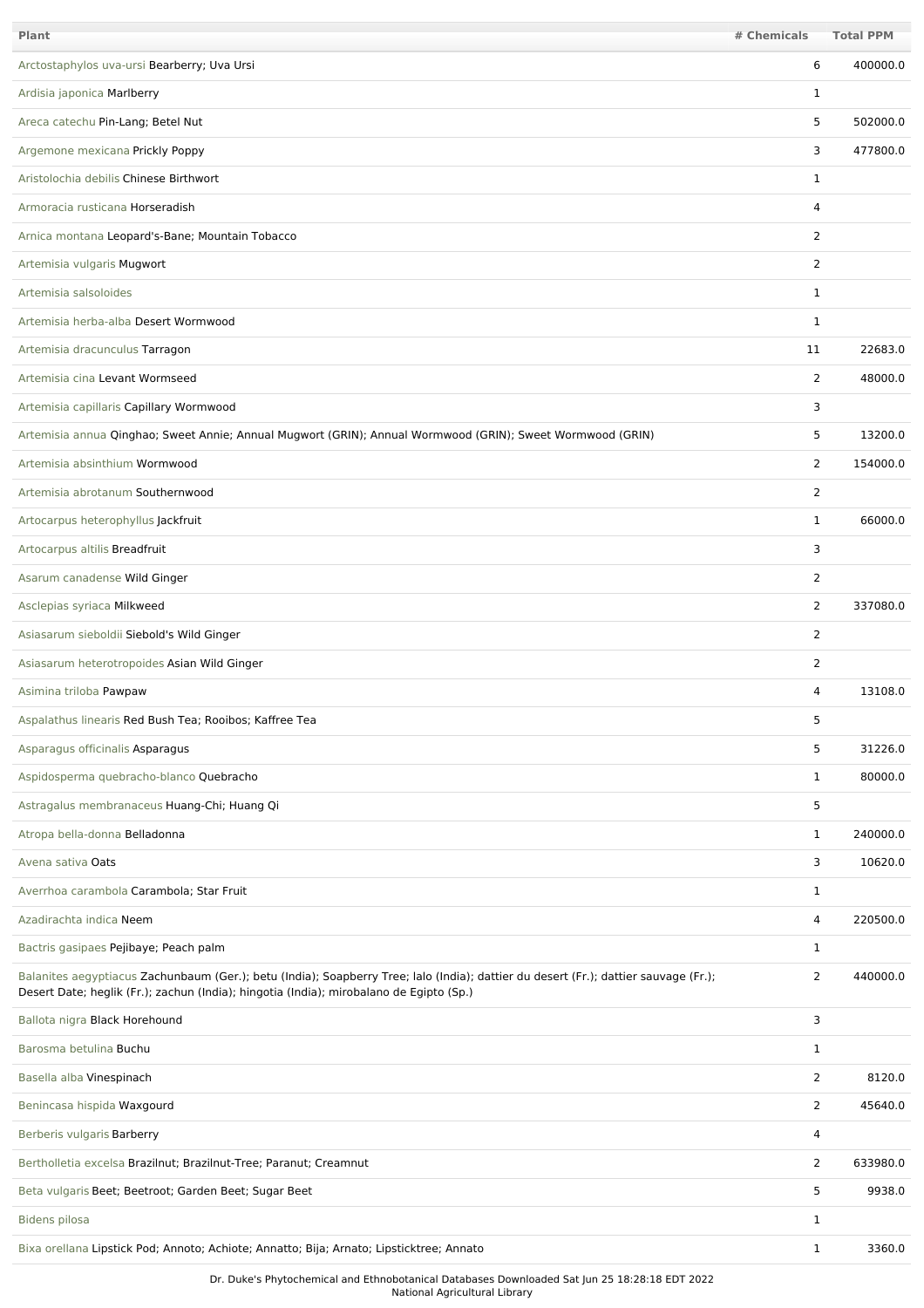| Plant                                                                                                                                                                                                                           | # Chemicals    | <b>Total PPM</b> |
|---------------------------------------------------------------------------------------------------------------------------------------------------------------------------------------------------------------------------------|----------------|------------------|
| Arctostaphylos uva-ursi Bearberry; Uva Ursi                                                                                                                                                                                     | 6              | 400000.0         |
| Ardisia japonica Marlberry                                                                                                                                                                                                      | 1              |                  |
| Areca catechu Pin-Lang; Betel Nut                                                                                                                                                                                               | 5              | 502000.0         |
| Argemone mexicana Prickly Poppy                                                                                                                                                                                                 | 3              | 477800.0         |
| Aristolochia debilis Chinese Birthwort                                                                                                                                                                                          | 1              |                  |
| Armoracia rusticana Horseradish                                                                                                                                                                                                 | 4              |                  |
| Arnica montana Leopard's-Bane; Mountain Tobacco                                                                                                                                                                                 | $\overline{2}$ |                  |
| Artemisia vulgaris Mugwort                                                                                                                                                                                                      | $\overline{2}$ |                  |
| Artemisia salsoloides                                                                                                                                                                                                           | 1              |                  |
| Artemisia herba-alba Desert Wormwood                                                                                                                                                                                            | 1              |                  |
| Artemisia dracunculus Tarragon                                                                                                                                                                                                  | 11             | 22683.0          |
| Artemisia cina Levant Wormseed                                                                                                                                                                                                  | 2              | 48000.0          |
| Artemisia capillaris Capillary Wormwood                                                                                                                                                                                         | 3              |                  |
| Artemisia annua Qinghao; Sweet Annie; Annual Mugwort (GRIN); Annual Wormwood (GRIN); Sweet Wormwood (GRIN)                                                                                                                      | 5              | 13200.0          |
| Artemisia absinthium Wormwood                                                                                                                                                                                                   | $\overline{2}$ | 154000.0         |
| Artemisia abrotanum Southernwood                                                                                                                                                                                                | $\overline{2}$ |                  |
| Artocarpus heterophyllus Jackfruit                                                                                                                                                                                              | $\mathbf{1}$   | 66000.0          |
| Artocarpus altilis Breadfruit                                                                                                                                                                                                   | 3              |                  |
| Asarum canadense Wild Ginger                                                                                                                                                                                                    | $\overline{2}$ |                  |
| Asclepias syriaca Milkweed                                                                                                                                                                                                      | 2              | 337080.0         |
| Asiasarum sieboldii Siebold's Wild Ginger                                                                                                                                                                                       | $\overline{2}$ |                  |
| Asiasarum heterotropoides Asian Wild Ginger                                                                                                                                                                                     | $\overline{2}$ |                  |
| Asimina triloba Pawpaw                                                                                                                                                                                                          | 4              | 13108.0          |
| Aspalathus linearis Red Bush Tea; Rooibos; Kaffree Tea                                                                                                                                                                          | 5              |                  |
| Asparagus officinalis Asparagus                                                                                                                                                                                                 | 5              | 31226.0          |
| Aspidosperma quebracho-blanco Quebracho                                                                                                                                                                                         | $\mathbf{1}$   | 80000.0          |
| Astragalus membranaceus Huang-Chi; Huang Qi                                                                                                                                                                                     | 5              |                  |
| Atropa bella-donna Belladonna                                                                                                                                                                                                   | $\mathbf{1}$   | 240000.0         |
| Avena sativa Oats                                                                                                                                                                                                               | 3              | 10620.0          |
| Averrhoa carambola Carambola; Star Fruit                                                                                                                                                                                        | $\mathbf{1}$   |                  |
| Azadirachta indica Neem                                                                                                                                                                                                         | $\overline{4}$ | 220500.0         |
| Bactris gasipaes Pejibaye; Peach palm                                                                                                                                                                                           | $\mathbf{1}$   |                  |
| Balanites aegyptiacus Zachunbaum (Ger.); betu (India); Soapberry Tree; Ialo (India); dattier du desert (Fr.); dattier sauvage (Fr.);<br>Desert Date; heglik (Fr.); zachun (India); hingotia (India); mirobalano de Egipto (Sp.) | $\overline{2}$ | 440000.0         |
| Ballota nigra Black Horehound                                                                                                                                                                                                   | 3              |                  |
| Barosma betulina Buchu                                                                                                                                                                                                          | $\mathbf{1}$   |                  |
| Basella alba Vinespinach                                                                                                                                                                                                        | $\overline{2}$ | 8120.0           |
| Benincasa hispida Waxgourd                                                                                                                                                                                                      | $\overline{2}$ | 45640.0          |
| Berberis vulgaris Barberry                                                                                                                                                                                                      | $\overline{4}$ |                  |
| Bertholletia excelsa Brazilnut; Brazilnut-Tree; Paranut; Creamnut                                                                                                                                                               | $\overline{2}$ | 633980.0         |
| Beta vulgaris Beet; Beetroot; Garden Beet; Sugar Beet                                                                                                                                                                           | 5              | 9938.0           |
| <b>Bidens pilosa</b>                                                                                                                                                                                                            | $\mathbf 1$    |                  |
| Bixa orellana Lipstick Pod; Annoto; Achiote; Annatto; Bija; Arnato; Lipsticktree; Annato                                                                                                                                        | $\mathbf{1}$   | 3360.0           |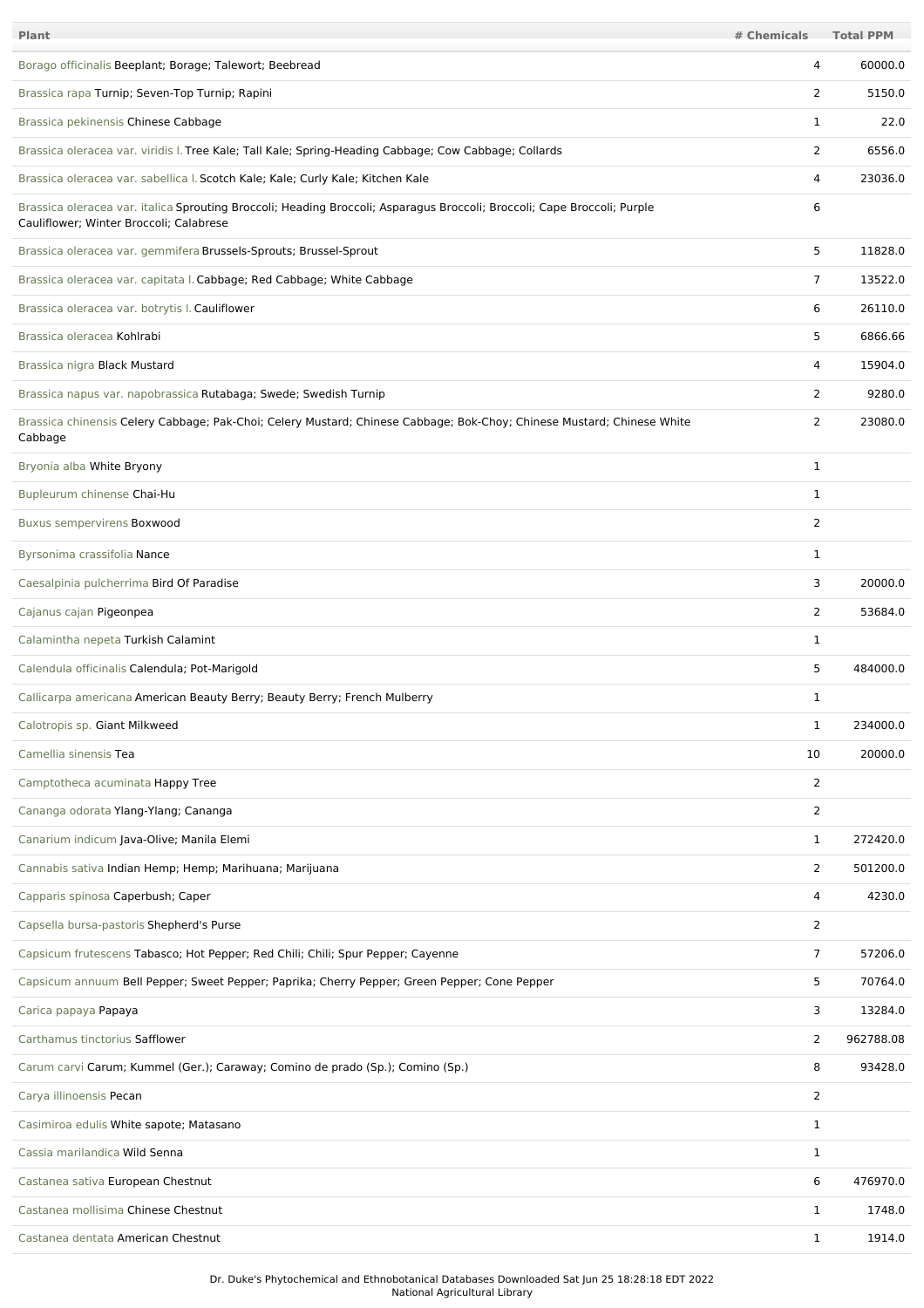| Plant                                                                                                                                                               | # Chemicals    | <b>Total PPM</b> |
|---------------------------------------------------------------------------------------------------------------------------------------------------------------------|----------------|------------------|
| Borago officinalis Beeplant; Borage; Talewort; Beebread                                                                                                             | 4              | 60000.0          |
| Brassica rapa Turnip; Seven-Top Turnip; Rapini                                                                                                                      | 2              | 5150.0           |
| Brassica pekinensis Chinese Cabbage                                                                                                                                 | 1              | 22.0             |
| Brassica oleracea var. viridis I. Tree Kale; Tall Kale; Spring-Heading Cabbage; Cow Cabbage; Collards                                                               | 2              | 6556.0           |
| Brassica oleracea var. sabellica I. Scotch Kale; Kale; Curly Kale; Kitchen Kale                                                                                     | 4              | 23036.0          |
| Brassica oleracea var. italica Sprouting Broccoli; Heading Broccoli; Asparagus Broccoli; Broccoli; Cape Broccoli; Purple<br>Cauliflower; Winter Broccoli; Calabrese | 6              |                  |
| Brassica oleracea var. gemmifera Brussels-Sprouts; Brussel-Sprout                                                                                                   | 5              | 11828.0          |
| Brassica oleracea var. capitata I. Cabbage; Red Cabbage; White Cabbage                                                                                              | 7              | 13522.0          |
| Brassica oleracea var. botrytis I. Cauliflower                                                                                                                      | 6              | 26110.0          |
| Brassica oleracea Kohlrabi                                                                                                                                          | 5              | 6866.66          |
| Brassica nigra Black Mustard                                                                                                                                        | $\overline{4}$ | 15904.0          |
| Brassica napus var. napobrassica Rutabaga; Swede; Swedish Turnip                                                                                                    | $\overline{2}$ | 9280.0           |
| Brassica chinensis Celery Cabbage; Pak-Choi; Celery Mustard; Chinese Cabbage; Bok-Choy; Chinese Mustard; Chinese White<br>Cabbage                                   | $\overline{2}$ | 23080.0          |
| Bryonia alba White Bryony                                                                                                                                           | $\mathbf{1}$   |                  |
| Bupleurum chinense Chai-Hu                                                                                                                                          | 1              |                  |
| Buxus sempervirens Boxwood                                                                                                                                          | 2              |                  |
| Byrsonima crassifolia Nance                                                                                                                                         | 1              |                  |
| Caesalpinia pulcherrima Bird Of Paradise                                                                                                                            | 3              | 20000.0          |
| Cajanus cajan Pigeonpea                                                                                                                                             | 2              | 53684.0          |
| Calamintha nepeta Turkish Calamint                                                                                                                                  | 1              |                  |
| Calendula officinalis Calendula; Pot-Marigold                                                                                                                       | 5              | 484000.0         |
| Callicarpa americana American Beauty Berry; Beauty Berry; French Mulberry                                                                                           | 1              |                  |
| Calotropis sp. Giant Milkweed                                                                                                                                       | 1              | 234000.0         |
| Camellia sinensis Tea                                                                                                                                               | 10             | 20000.0          |
| Camptotheca acuminata Happy Tree                                                                                                                                    | 2              |                  |
| Cananga odorata Ylang-Ylang; Cananga                                                                                                                                | 2              |                  |
| Canarium indicum Java-Olive; Manila Elemi                                                                                                                           | $\mathbf{1}$   | 272420.0         |
| Cannabis sativa Indian Hemp; Hemp; Marihuana; Marijuana                                                                                                             | $\overline{2}$ | 501200.0         |
| Capparis spinosa Caperbush; Caper                                                                                                                                   | $\overline{4}$ | 4230.0           |
| Capsella bursa-pastoris Shepherd's Purse                                                                                                                            | $\overline{2}$ |                  |
| Capsicum frutescens Tabasco; Hot Pepper; Red Chili; Chili; Spur Pepper; Cayenne                                                                                     | $\overline{7}$ | 57206.0          |
| Capsicum annuum Bell Pepper; Sweet Pepper; Paprika; Cherry Pepper; Green Pepper; Cone Pepper                                                                        | 5              | 70764.0          |
| Carica papaya Papaya                                                                                                                                                | 3              | 13284.0          |
| Carthamus tinctorius Safflower                                                                                                                                      | 2              | 962788.08        |
| Carum carvi Carum; Kummel (Ger.); Caraway; Comino de prado (Sp.); Comino (Sp.)                                                                                      | 8              | 93428.0          |
| Carya illinoensis Pecan                                                                                                                                             | 2              |                  |
| Casimiroa edulis White sapote; Matasano                                                                                                                             | 1              |                  |
| Cassia marilandica Wild Senna                                                                                                                                       | $\mathbf 1$    |                  |
| Castanea sativa European Chestnut                                                                                                                                   | 6              | 476970.0         |
| Castanea mollisima Chinese Chestnut                                                                                                                                 | 1              | 1748.0           |
| Castanea dentata American Chestnut                                                                                                                                  | 1              | 1914.0           |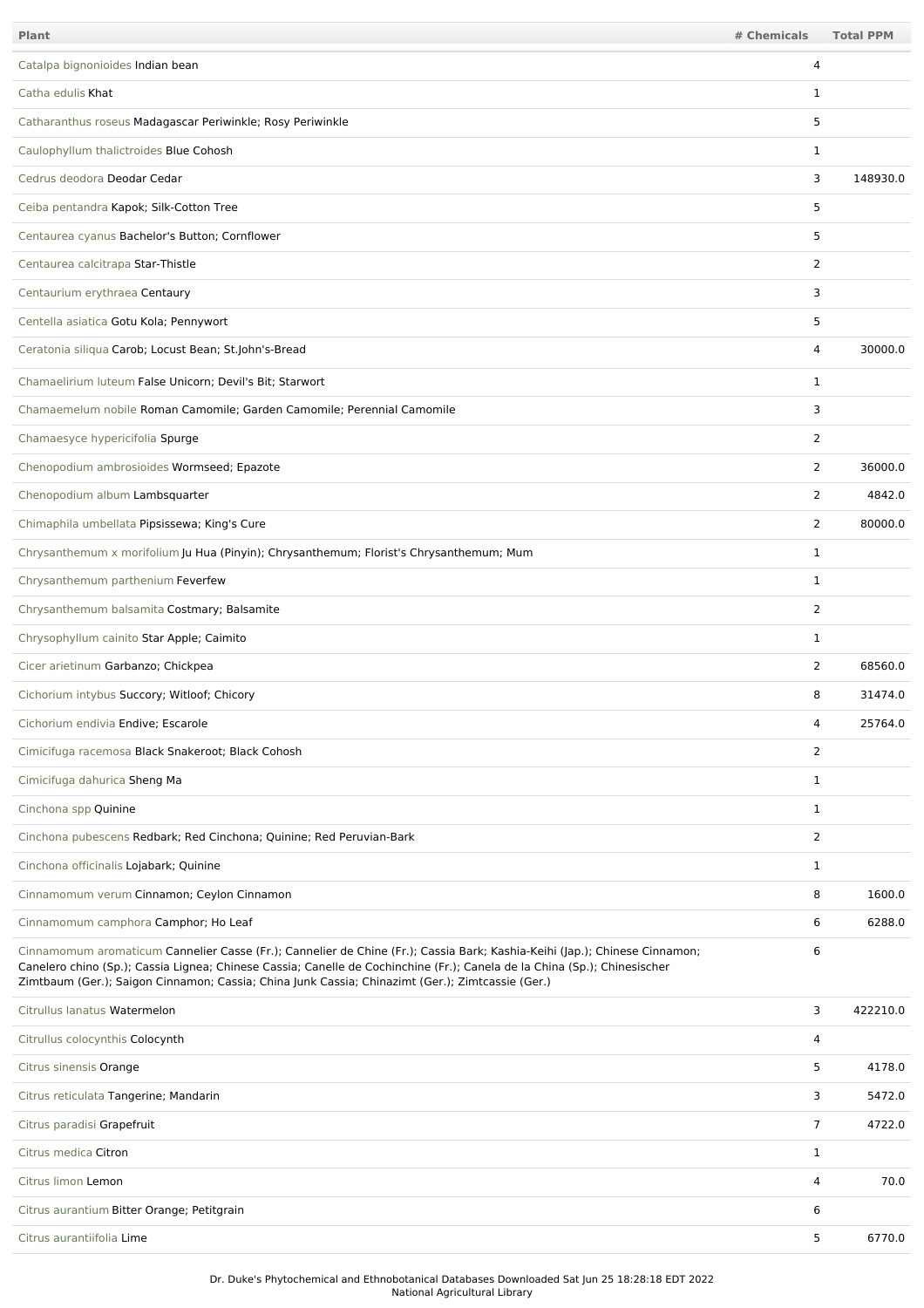| Plant                                                                                                                                                                                                                                                                                                                                                       | # Chemicals    | <b>Total PPM</b> |
|-------------------------------------------------------------------------------------------------------------------------------------------------------------------------------------------------------------------------------------------------------------------------------------------------------------------------------------------------------------|----------------|------------------|
| Catalpa bignonioides Indian bean                                                                                                                                                                                                                                                                                                                            | 4              |                  |
| Catha edulis Khat                                                                                                                                                                                                                                                                                                                                           | 1              |                  |
| Catharanthus roseus Madagascar Periwinkle; Rosy Periwinkle                                                                                                                                                                                                                                                                                                  | 5              |                  |
| Caulophyllum thalictroides Blue Cohosh                                                                                                                                                                                                                                                                                                                      | 1              |                  |
| Cedrus deodora Deodar Cedar                                                                                                                                                                                                                                                                                                                                 | 3              | 148930.0         |
| Ceiba pentandra Kapok; Silk-Cotton Tree                                                                                                                                                                                                                                                                                                                     | 5              |                  |
| Centaurea cyanus Bachelor's Button; Cornflower                                                                                                                                                                                                                                                                                                              | 5              |                  |
| Centaurea calcitrapa Star-Thistle                                                                                                                                                                                                                                                                                                                           | 2              |                  |
| Centaurium erythraea Centaury                                                                                                                                                                                                                                                                                                                               | 3              |                  |
| Centella asiatica Gotu Kola; Pennywort                                                                                                                                                                                                                                                                                                                      | 5              |                  |
| Ceratonia siliqua Carob; Locust Bean; St.John's-Bread                                                                                                                                                                                                                                                                                                       | 4              | 30000.0          |
| Chamaelirium luteum False Unicorn; Devil's Bit; Starwort                                                                                                                                                                                                                                                                                                    | $\mathbf 1$    |                  |
| Chamaemelum nobile Roman Camomile; Garden Camomile; Perennial Camomile                                                                                                                                                                                                                                                                                      | 3              |                  |
| Chamaesyce hypericifolia Spurge                                                                                                                                                                                                                                                                                                                             | 2              |                  |
| Chenopodium ambrosioides Wormseed; Epazote                                                                                                                                                                                                                                                                                                                  | 2              | 36000.0          |
| Chenopodium album Lambsquarter                                                                                                                                                                                                                                                                                                                              | 2              | 4842.0           |
| Chimaphila umbellata Pipsissewa; King's Cure                                                                                                                                                                                                                                                                                                                | 2              | 80000.0          |
| Chrysanthemum x morifolium Ju Hua (Pinyin); Chrysanthemum; Florist's Chrysanthemum; Mum                                                                                                                                                                                                                                                                     | $\mathbf{1}$   |                  |
| Chrysanthemum parthenium Feverfew                                                                                                                                                                                                                                                                                                                           | $\mathbf{1}$   |                  |
| Chrysanthemum balsamita Costmary; Balsamite                                                                                                                                                                                                                                                                                                                 | $\overline{2}$ |                  |
| Chrysophyllum cainito Star Apple; Caimito                                                                                                                                                                                                                                                                                                                   | $\mathbf 1$    |                  |
| Cicer arietinum Garbanzo; Chickpea                                                                                                                                                                                                                                                                                                                          | 2              | 68560.0          |
| Cichorium intybus Succory; Witloof; Chicory                                                                                                                                                                                                                                                                                                                 | 8              | 31474.0          |
| Cichorium endivia Endive; Escarole                                                                                                                                                                                                                                                                                                                          | $\Lambda$      | 25764.0          |
| Cimicifuga racemosa Black Snakeroot; Black Cohosh                                                                                                                                                                                                                                                                                                           | $\overline{2}$ |                  |
| Cimicifuga dahurica Sheng Ma                                                                                                                                                                                                                                                                                                                                | $\mathbf{1}$   |                  |
| Cinchona spp Quinine                                                                                                                                                                                                                                                                                                                                        | $\mathbf{1}$   |                  |
| Cinchona pubescens Redbark; Red Cinchona; Quinine; Red Peruvian-Bark                                                                                                                                                                                                                                                                                        | 2              |                  |
| Cinchona officinalis Lojabark; Quinine                                                                                                                                                                                                                                                                                                                      | $\mathbf{1}$   |                  |
| Cinnamomum verum Cinnamon; Ceylon Cinnamon                                                                                                                                                                                                                                                                                                                  | 8              | 1600.0           |
| Cinnamomum camphora Camphor; Ho Leaf                                                                                                                                                                                                                                                                                                                        | 6              | 6288.0           |
| Cinnamomum aromaticum Cannelier Casse (Fr.); Cannelier de Chine (Fr.); Cassia Bark; Kashia-Keihi (Jap.); Chinese Cinnamon;<br>Canelero chino (Sp.); Cassia Lignea; Chinese Cassia; Canelle de Cochinchine (Fr.); Canela de la China (Sp.); Chinesischer<br>Zimtbaum (Ger.); Saigon Cinnamon; Cassia; China Junk Cassia; Chinazimt (Ger.); Zimtcassie (Ger.) | 6              |                  |
| Citrullus lanatus Watermelon                                                                                                                                                                                                                                                                                                                                | 3              | 422210.0         |
| Citrullus colocynthis Colocynth                                                                                                                                                                                                                                                                                                                             | 4              |                  |
| Citrus sinensis Orange                                                                                                                                                                                                                                                                                                                                      | 5              | 4178.0           |
| Citrus reticulata Tangerine; Mandarin                                                                                                                                                                                                                                                                                                                       | 3              | 5472.0           |
| Citrus paradisi Grapefruit                                                                                                                                                                                                                                                                                                                                  | $\overline{7}$ | 4722.0           |
| Citrus medica Citron                                                                                                                                                                                                                                                                                                                                        | $\mathbf{1}$   |                  |
| Citrus limon Lemon                                                                                                                                                                                                                                                                                                                                          | 4              | 70.0             |
| Citrus aurantium Bitter Orange; Petitgrain                                                                                                                                                                                                                                                                                                                  | 6              |                  |
| Citrus aurantiifolia Lime                                                                                                                                                                                                                                                                                                                                   | 5              | 6770.0           |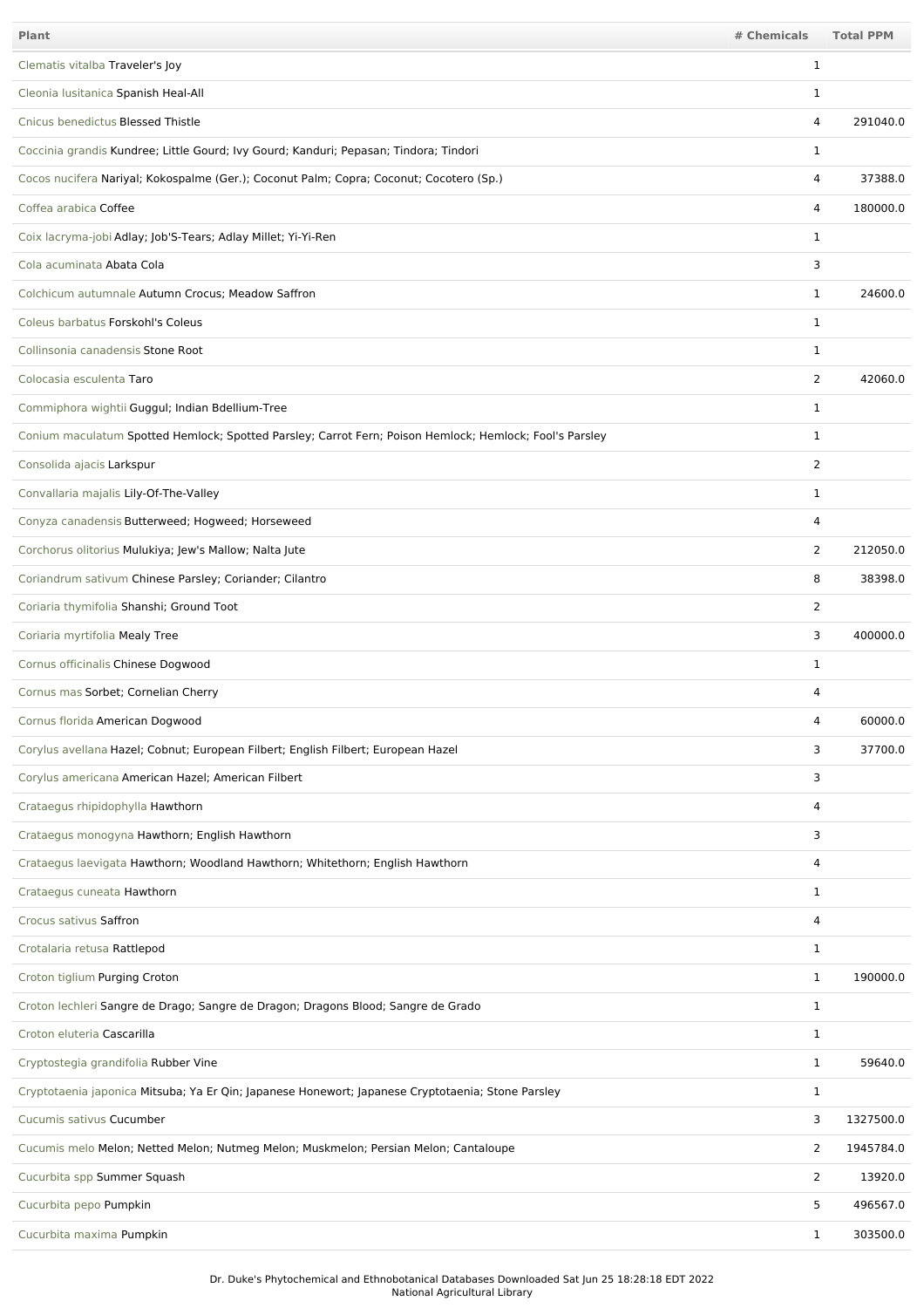| <b>Plant</b>                                                                                            | # Chemicals    | <b>Total PPM</b> |
|---------------------------------------------------------------------------------------------------------|----------------|------------------|
| Clematis vitalba Traveler's Joy                                                                         | 1              |                  |
| Cleonia Iusitanica Spanish Heal-All                                                                     | 1              |                  |
| Cnicus benedictus Blessed Thistle                                                                       | 4              | 291040.0         |
| Coccinia grandis Kundree; Little Gourd; Ivy Gourd; Kanduri; Pepasan; Tindora; Tindori                   | 1              |                  |
| Cocos nucifera Nariyal; Kokospalme (Ger.); Coconut Palm; Copra; Coconut; Cocotero (Sp.)                 | 4              | 37388.0          |
| Coffea arabica Coffee                                                                                   | 4              | 180000.0         |
| Coix lacryma-jobi Adlay; Job'S-Tears; Adlay Millet; Yi-Yi-Ren                                           | $\mathbf 1$    |                  |
| Cola acuminata Abata Cola                                                                               | 3              |                  |
| Colchicum autumnale Autumn Crocus; Meadow Saffron                                                       | $\mathbf{1}$   | 24600.0          |
| Coleus barbatus Forskohl's Coleus                                                                       | $\mathbf 1$    |                  |
| Collinsonia canadensis Stone Root                                                                       | $\mathbf 1$    |                  |
| Colocasia esculenta Taro                                                                                | $\overline{2}$ | 42060.0          |
| Commiphora wightii Guggul; Indian Bdellium-Tree                                                         | 1              |                  |
| Conium maculatum Spotted Hemlock; Spotted Parsley; Carrot Fern; Poison Hemlock; Hemlock; Fool's Parsley | $\mathbf 1$    |                  |
| Consolida ajacis Larkspur                                                                               | 2              |                  |
| Convallaria majalis Lily-Of-The-Valley                                                                  | 1              |                  |
| Conyza canadensis Butterweed; Hogweed; Horseweed                                                        | 4              |                  |
| Corchorus olitorius Mulukiya; Jew's Mallow; Nalta Jute                                                  | 2              | 212050.0         |
| Coriandrum sativum Chinese Parsley; Coriander; Cilantro                                                 | 8              | 38398.0          |
| Coriaria thymifolia Shanshi; Ground Toot                                                                | $\overline{2}$ |                  |
| Coriaria myrtifolia Mealy Tree                                                                          | 3              | 400000.0         |
| Cornus officinalis Chinese Dogwood                                                                      | $\mathbf 1$    |                  |
| Cornus mas Sorbet; Cornelian Cherry                                                                     | 4              |                  |
| Cornus florida American Dogwood                                                                         | 4              | 60000.0          |
| Corylus avellana Hazel; Cobnut; European Filbert; English Filbert; European Hazel                       | 3              | 37700.0          |
| Corylus americana American Hazel; American Filbert                                                      | 3              |                  |
| Crataegus rhipidophylla Hawthorn                                                                        | 4              |                  |
| Crataegus monogyna Hawthorn; English Hawthorn                                                           | 3              |                  |
| Crataegus laevigata Hawthorn; Woodland Hawthorn; Whitethorn; English Hawthorn                           | 4              |                  |
| Crataegus cuneata Hawthorn                                                                              | $\mathbf{1}$   |                  |
| Crocus sativus Saffron                                                                                  | $\overline{4}$ |                  |
| Crotalaria retusa Rattlepod                                                                             | $\mathbf{1}$   |                  |
| Croton tiglium Purging Croton                                                                           | 1              | 190000.0         |
| Croton lechleri Sangre de Drago; Sangre de Dragon; Dragons Blood; Sangre de Grado                       | $\mathbf{1}$   |                  |
| Croton eluteria Cascarilla                                                                              | 1              |                  |
| Cryptostegia grandifolia Rubber Vine                                                                    | $\mathbf{1}$   | 59640.0          |
| Cryptotaenia japonica Mitsuba; Ya Er Qin; Japanese Honewort; Japanese Cryptotaenia; Stone Parsley       | 1              |                  |
| Cucumis sativus Cucumber                                                                                | 3              | 1327500.0        |
| Cucumis melo Melon; Netted Melon; Nutmeg Melon; Muskmelon; Persian Melon; Cantaloupe                    | $\overline{2}$ | 1945784.0        |
| Cucurbita spp Summer Squash                                                                             | $\overline{2}$ | 13920.0          |
| Cucurbita pepo Pumpkin                                                                                  | 5              | 496567.0         |
| Cucurbita maxima Pumpkin                                                                                | $\mathbf{1}$   | 303500.0         |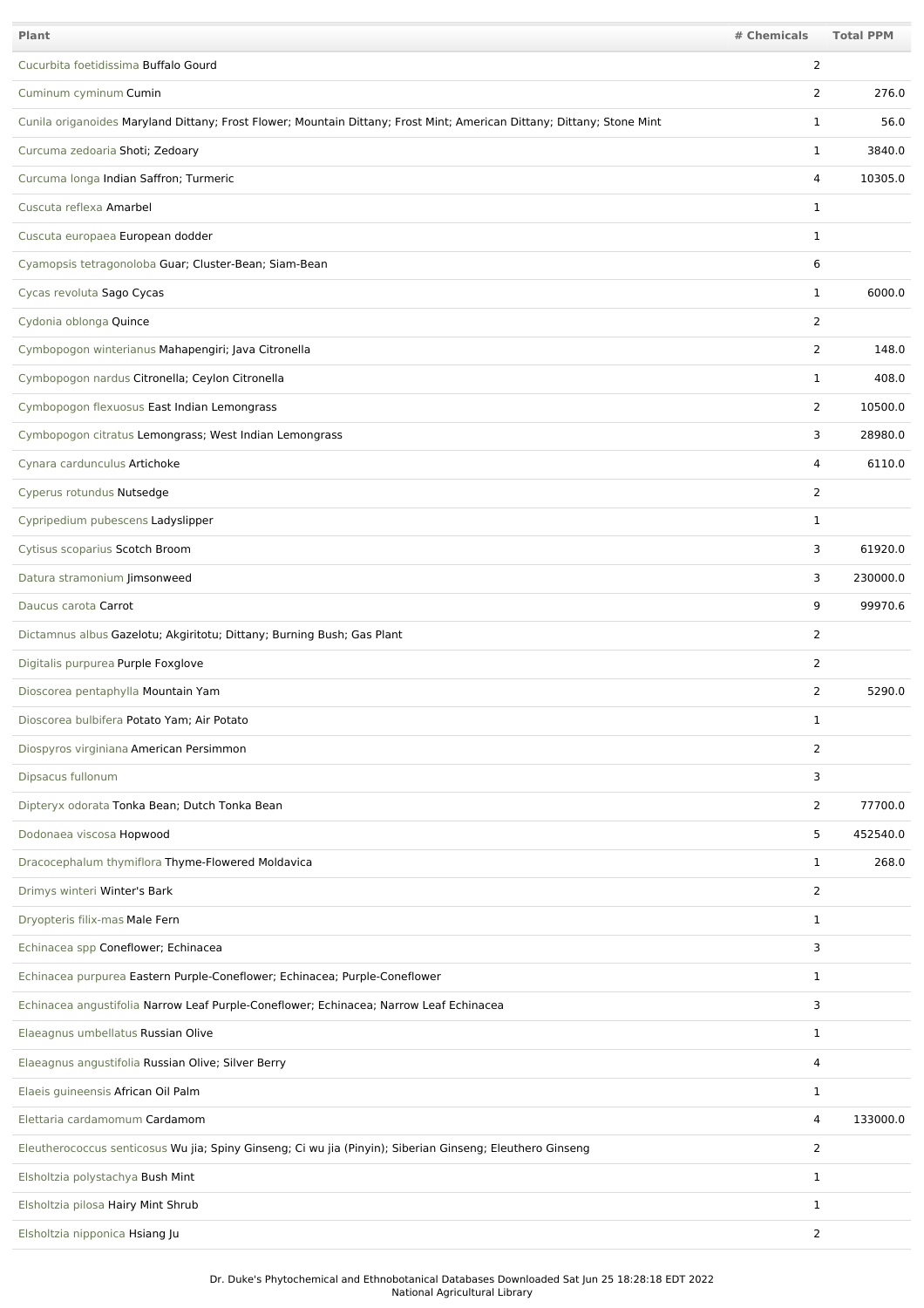| Plant                                                                                                                  | # Chemicals    | <b>Total PPM</b> |
|------------------------------------------------------------------------------------------------------------------------|----------------|------------------|
| Cucurbita foetidissima Buffalo Gourd                                                                                   | 2              |                  |
| Cuminum cyminum Cumin                                                                                                  | 2              | 276.0            |
| Cunila origanoides Maryland Dittany; Frost Flower; Mountain Dittany; Frost Mint; American Dittany; Dittany; Stone Mint | $\mathbf 1$    | 56.0             |
| Curcuma zedoaria Shoti; Zedoary                                                                                        | 1              | 3840.0           |
| Curcuma longa Indian Saffron; Turmeric                                                                                 | 4              | 10305.0          |
| Cuscuta reflexa Amarbel                                                                                                | 1              |                  |
| Cuscuta europaea European dodder                                                                                       | 1              |                  |
| Cyamopsis tetragonoloba Guar; Cluster-Bean; Siam-Bean                                                                  | 6              |                  |
| Cycas revoluta Sago Cycas                                                                                              | $\mathbf{1}$   | 6000.0           |
| Cydonia oblonga Quince                                                                                                 | 2              |                  |
| Cymbopogon winterianus Mahapengiri; Java Citronella                                                                    | $\overline{2}$ | 148.0            |
| Cymbopogon nardus Citronella; Ceylon Citronella                                                                        | $\mathbf{1}$   | 408.0            |
| Cymbopogon flexuosus East Indian Lemongrass                                                                            | 2              | 10500.0          |
| Cymbopogon citratus Lemongrass; West Indian Lemongrass                                                                 | 3              | 28980.0          |
| Cynara cardunculus Artichoke                                                                                           | 4              | 6110.0           |
| Cyperus rotundus Nutsedge                                                                                              | $\overline{2}$ |                  |
| Cypripedium pubescens Ladyslipper                                                                                      | $\mathbf{1}$   |                  |
| Cytisus scoparius Scotch Broom                                                                                         | 3              | 61920.0          |
| Datura stramonium Jimsonweed                                                                                           | 3              | 230000.0         |
| Daucus carota Carrot                                                                                                   | 9              | 99970.6          |
| Dictamnus albus Gazelotu; Akgiritotu; Dittany; Burning Bush; Gas Plant                                                 | 2              |                  |
| Digitalis purpurea Purple Foxglove                                                                                     | 2              |                  |
| Dioscorea pentaphylla Mountain Yam                                                                                     | 2              | 5290.0           |
| Dioscorea bulbifera Potato Yam; Air Potato                                                                             | 1              |                  |
| Diospyros virginiana American Persimmon                                                                                | $\overline{2}$ |                  |
| Dipsacus fullonum                                                                                                      | 3              |                  |
| Dipteryx odorata Tonka Bean; Dutch Tonka Bean                                                                          | 2              | 77700.0          |
| Dodonaea viscosa Hopwood                                                                                               | 5              | 452540.0         |
| Dracocephalum thymiflora Thyme-Flowered Moldavica                                                                      | $\mathbf{1}$   | 268.0            |
| Drimys winteri Winter's Bark                                                                                           | 2              |                  |
| Dryopteris filix-mas Male Fern                                                                                         | $\mathbf{1}$   |                  |
| Echinacea spp Coneflower; Echinacea                                                                                    | 3              |                  |
| Echinacea purpurea Eastern Purple-Coneflower; Echinacea; Purple-Coneflower                                             | $\mathbf{1}$   |                  |
| Echinacea angustifolia Narrow Leaf Purple-Coneflower; Echinacea; Narrow Leaf Echinacea                                 | 3              |                  |
| Elaeagnus umbellatus Russian Olive                                                                                     | $\mathbf{1}$   |                  |
| Elaeagnus angustifolia Russian Olive; Silver Berry                                                                     | 4              |                  |
| Elaeis guineensis African Oil Palm                                                                                     | 1              |                  |
| Elettaria cardamomum Cardamom                                                                                          | 4              | 133000.0         |
| Eleutherococcus senticosus Wu jia; Spiny Ginseng; Ci wu jia (Pinyin); Siberian Ginseng; Eleuthero Ginseng              | 2              |                  |
| Elsholtzia polystachya Bush Mint                                                                                       | 1              |                  |
| Elsholtzia pilosa Hairy Mint Shrub                                                                                     | $\mathbf{1}$   |                  |
| Elsholtzia nipponica Hsiang Ju                                                                                         | $\overline{2}$ |                  |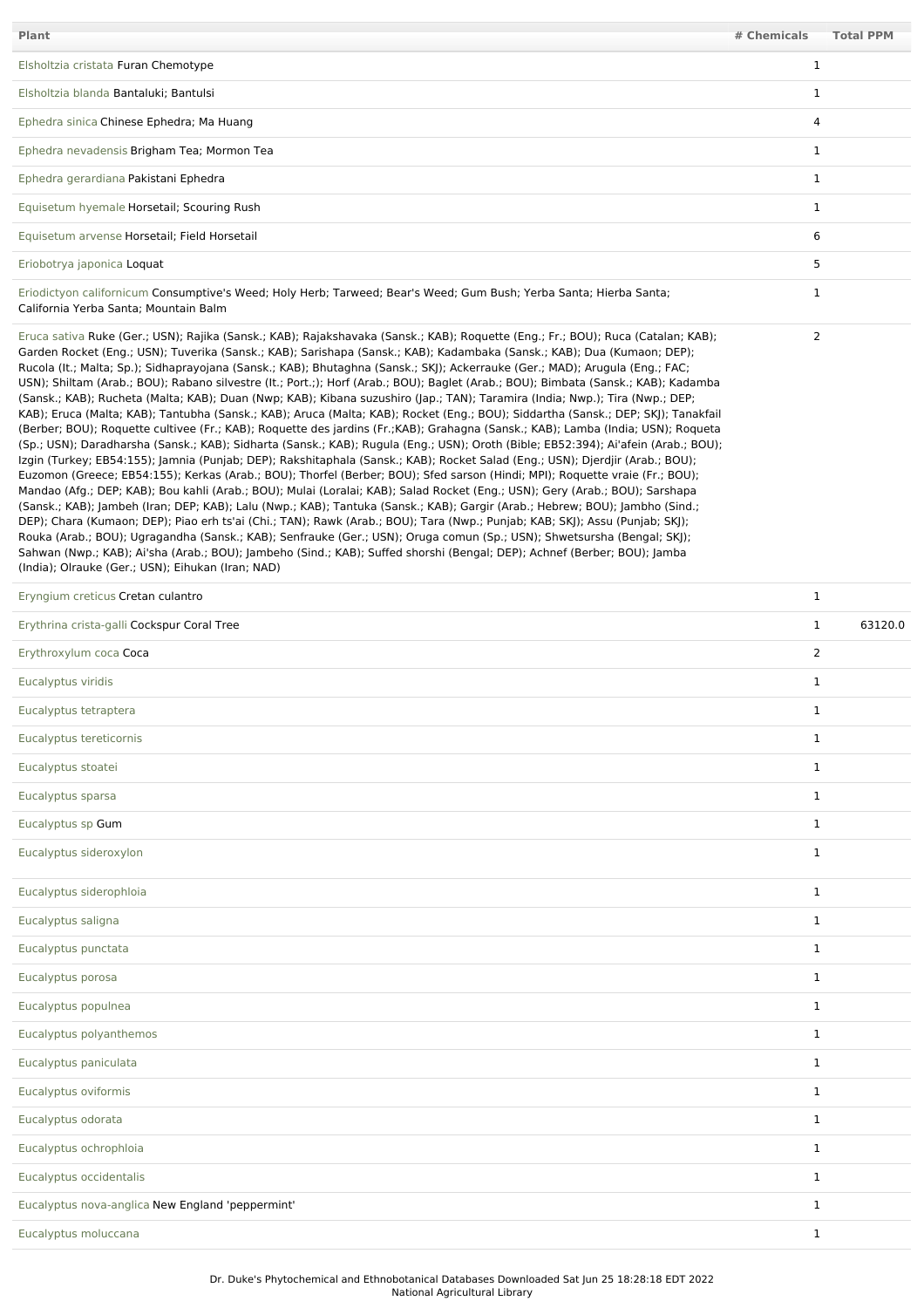| <b>Plant</b>                                                                                                                                                                                                                                                                                                                                                                                                                                                                                                                                                                                                                                                                                                                                                                                                                                                                                                                                                                                                                                                                                                                                                                                                                                                                                                                                                                                                                                                                                                                                                                                                                                                                                                                                                                                                                                                                                                                                                                                                                                                   | # Chemicals    | <b>Total PPM</b> |
|----------------------------------------------------------------------------------------------------------------------------------------------------------------------------------------------------------------------------------------------------------------------------------------------------------------------------------------------------------------------------------------------------------------------------------------------------------------------------------------------------------------------------------------------------------------------------------------------------------------------------------------------------------------------------------------------------------------------------------------------------------------------------------------------------------------------------------------------------------------------------------------------------------------------------------------------------------------------------------------------------------------------------------------------------------------------------------------------------------------------------------------------------------------------------------------------------------------------------------------------------------------------------------------------------------------------------------------------------------------------------------------------------------------------------------------------------------------------------------------------------------------------------------------------------------------------------------------------------------------------------------------------------------------------------------------------------------------------------------------------------------------------------------------------------------------------------------------------------------------------------------------------------------------------------------------------------------------------------------------------------------------------------------------------------------------|----------------|------------------|
| Elsholtzia cristata Furan Chemotype                                                                                                                                                                                                                                                                                                                                                                                                                                                                                                                                                                                                                                                                                                                                                                                                                                                                                                                                                                                                                                                                                                                                                                                                                                                                                                                                                                                                                                                                                                                                                                                                                                                                                                                                                                                                                                                                                                                                                                                                                            | $\mathbf 1$    |                  |
| Elsholtzia blanda Bantaluki; Bantulsi                                                                                                                                                                                                                                                                                                                                                                                                                                                                                                                                                                                                                                                                                                                                                                                                                                                                                                                                                                                                                                                                                                                                                                                                                                                                                                                                                                                                                                                                                                                                                                                                                                                                                                                                                                                                                                                                                                                                                                                                                          | $\mathbf{1}$   |                  |
| Ephedra sinica Chinese Ephedra; Ma Huang                                                                                                                                                                                                                                                                                                                                                                                                                                                                                                                                                                                                                                                                                                                                                                                                                                                                                                                                                                                                                                                                                                                                                                                                                                                                                                                                                                                                                                                                                                                                                                                                                                                                                                                                                                                                                                                                                                                                                                                                                       | $\overline{4}$ |                  |
| Ephedra nevadensis Brigham Tea; Mormon Tea                                                                                                                                                                                                                                                                                                                                                                                                                                                                                                                                                                                                                                                                                                                                                                                                                                                                                                                                                                                                                                                                                                                                                                                                                                                                                                                                                                                                                                                                                                                                                                                                                                                                                                                                                                                                                                                                                                                                                                                                                     | $\mathbf{1}$   |                  |
| Ephedra gerardiana Pakistani Ephedra                                                                                                                                                                                                                                                                                                                                                                                                                                                                                                                                                                                                                                                                                                                                                                                                                                                                                                                                                                                                                                                                                                                                                                                                                                                                                                                                                                                                                                                                                                                                                                                                                                                                                                                                                                                                                                                                                                                                                                                                                           | $\mathbf{1}$   |                  |
| Equisetum hyemale Horsetail; Scouring Rush                                                                                                                                                                                                                                                                                                                                                                                                                                                                                                                                                                                                                                                                                                                                                                                                                                                                                                                                                                                                                                                                                                                                                                                                                                                                                                                                                                                                                                                                                                                                                                                                                                                                                                                                                                                                                                                                                                                                                                                                                     | $\mathbf{1}$   |                  |
| Equisetum arvense Horsetail; Field Horsetail                                                                                                                                                                                                                                                                                                                                                                                                                                                                                                                                                                                                                                                                                                                                                                                                                                                                                                                                                                                                                                                                                                                                                                                                                                                                                                                                                                                                                                                                                                                                                                                                                                                                                                                                                                                                                                                                                                                                                                                                                   | 6              |                  |
| Eriobotrya japonica Loquat                                                                                                                                                                                                                                                                                                                                                                                                                                                                                                                                                                                                                                                                                                                                                                                                                                                                                                                                                                                                                                                                                                                                                                                                                                                                                                                                                                                                                                                                                                                                                                                                                                                                                                                                                                                                                                                                                                                                                                                                                                     | 5              |                  |
| Eriodictyon californicum Consumptive's Weed; Holy Herb; Tarweed; Bear's Weed; Gum Bush; Yerba Santa; Hierba Santa;<br>California Yerba Santa; Mountain Balm                                                                                                                                                                                                                                                                                                                                                                                                                                                                                                                                                                                                                                                                                                                                                                                                                                                                                                                                                                                                                                                                                                                                                                                                                                                                                                                                                                                                                                                                                                                                                                                                                                                                                                                                                                                                                                                                                                    | $\mathbf{1}$   |                  |
| Eruca sativa Ruke (Ger.; USN); Rajika (Sansk.; KAB); Rajakshavaka (Sansk.; KAB); Roquette (Eng.; Fr.; BOU); Ruca (Catalan; KAB);<br>Garden Rocket (Eng.; USN); Tuverika (Sansk.; KAB); Sarishapa (Sansk.; KAB); Kadambaka (Sansk.; KAB); Dua (Kumaon; DEP);<br>Rucola (It.; Malta; Sp.); Sidhaprayojana (Sansk.; KAB); Bhutaghna (Sansk.; SKJ); Ackerrauke (Ger.; MAD); Arugula (Eng.; FAC;<br>USN); Shiltam (Arab.; BOU); Rabano silvestre (lt.; Port.;); Horf (Arab.; BOU); Baglet (Arab.; BOU); Bimbata (Sansk.; KAB); Kadamba<br>(Sansk.; KAB); Rucheta (Malta; KAB); Duan (Nwp; KAB); Kibana suzushiro (Jap.; TAN); Taramira (India; Nwp.); Tira (Nwp.; DEP;<br>KAB); Eruca (Malta; KAB); Tantubha (Sansk.; KAB); Aruca (Malta; KAB); Rocket (Eng.; BOU); Siddartha (Sansk.; DEP; SKJ); Tanakfail<br>(Berber; BOU); Roquette cultivee (Fr.; KAB); Roquette des jardins (Fr.; KAB); Grahagna (Sansk.; KAB); Lamba (India; USN); Roqueta<br>(Sp.; USN); Daradharsha (Sansk.; KAB); Sidharta (Sansk.; KAB); Rugula (Eng.; USN); Oroth (Bible; EB52:394); Ai'afein (Arab.; BOU);<br>Izgin (Turkey; EB54:155); Jamnia (Punjab; DEP); Rakshitaphala (Sansk.; KAB); Rocket Salad (Eng.; USN); Djerdjir (Arab.; BOU);<br>Euzomon (Greece; EB54:155); Kerkas (Arab.; BOU); Thorfel (Berber; BOU); Sfed sarson (Hindi; MPI); Roquette vraie (Fr.; BOU);<br>Mandao (Afg.; DEP; KAB); Bou kahli (Arab.; BOU); Mulai (Loralai; KAB); Salad Rocket (Eng.; USN); Gery (Arab.; BOU); Sarshapa<br>(Sansk.; KAB); Jambeh (Iran; DEP; KAB); Lalu (Nwp.; KAB); Tantuka (Sansk.; KAB); Gargir (Arab.; Hebrew; BOU); Jambho (Sind.;<br>DEP); Chara (Kumaon; DEP); Piao erh ts'ai (Chi.; TAN); Rawk (Arab.; BOU); Tara (Nwp.; Punjab; KAB; SKJ); Assu (Punjab; SKJ);<br>Rouka (Arab.; BOU); Ugragandha (Sansk.; KAB); Senfrauke (Ger.; USN); Oruga comun (Sp.; USN); Shwetsursha (Bengal; SKJ);<br>Sahwan (Nwp.; KAB); Ai'sha (Arab.; BOU); Jambeho (Sind.; KAB); Suffed shorshi (Bengal; DEP); Achnef (Berber; BOU); Jamba<br>(India); Olrauke (Ger.; USN); Eihukan (Iran; NAD) | 2              |                  |
| Eryngium creticus Cretan culantro                                                                                                                                                                                                                                                                                                                                                                                                                                                                                                                                                                                                                                                                                                                                                                                                                                                                                                                                                                                                                                                                                                                                                                                                                                                                                                                                                                                                                                                                                                                                                                                                                                                                                                                                                                                                                                                                                                                                                                                                                              | $\mathbf{1}$   |                  |
| Erythrina crista-galli Cockspur Coral Tree                                                                                                                                                                                                                                                                                                                                                                                                                                                                                                                                                                                                                                                                                                                                                                                                                                                                                                                                                                                                                                                                                                                                                                                                                                                                                                                                                                                                                                                                                                                                                                                                                                                                                                                                                                                                                                                                                                                                                                                                                     | $\mathbf{1}$   | 63120.0          |
| Erythroxylum coca Coca                                                                                                                                                                                                                                                                                                                                                                                                                                                                                                                                                                                                                                                                                                                                                                                                                                                                                                                                                                                                                                                                                                                                                                                                                                                                                                                                                                                                                                                                                                                                                                                                                                                                                                                                                                                                                                                                                                                                                                                                                                         | 2              |                  |
| Eucalyptus viridis                                                                                                                                                                                                                                                                                                                                                                                                                                                                                                                                                                                                                                                                                                                                                                                                                                                                                                                                                                                                                                                                                                                                                                                                                                                                                                                                                                                                                                                                                                                                                                                                                                                                                                                                                                                                                                                                                                                                                                                                                                             | $\mathbf{1}$   |                  |
| Eucalyptus tetraptera                                                                                                                                                                                                                                                                                                                                                                                                                                                                                                                                                                                                                                                                                                                                                                                                                                                                                                                                                                                                                                                                                                                                                                                                                                                                                                                                                                                                                                                                                                                                                                                                                                                                                                                                                                                                                                                                                                                                                                                                                                          | $\mathbf 1$    |                  |
| Eucalyptus tereticornis                                                                                                                                                                                                                                                                                                                                                                                                                                                                                                                                                                                                                                                                                                                                                                                                                                                                                                                                                                                                                                                                                                                                                                                                                                                                                                                                                                                                                                                                                                                                                                                                                                                                                                                                                                                                                                                                                                                                                                                                                                        | $\mathbf{1}$   |                  |
| Eucalyptus stoatei                                                                                                                                                                                                                                                                                                                                                                                                                                                                                                                                                                                                                                                                                                                                                                                                                                                                                                                                                                                                                                                                                                                                                                                                                                                                                                                                                                                                                                                                                                                                                                                                                                                                                                                                                                                                                                                                                                                                                                                                                                             | $\mathbf{1}$   |                  |
| Eucalyptus sparsa                                                                                                                                                                                                                                                                                                                                                                                                                                                                                                                                                                                                                                                                                                                                                                                                                                                                                                                                                                                                                                                                                                                                                                                                                                                                                                                                                                                                                                                                                                                                                                                                                                                                                                                                                                                                                                                                                                                                                                                                                                              | $\mathbf{1}$   |                  |
| Eucalyptus sp Gum                                                                                                                                                                                                                                                                                                                                                                                                                                                                                                                                                                                                                                                                                                                                                                                                                                                                                                                                                                                                                                                                                                                                                                                                                                                                                                                                                                                                                                                                                                                                                                                                                                                                                                                                                                                                                                                                                                                                                                                                                                              | $\mathbf{1}$   |                  |
| Eucalyptus sideroxylon                                                                                                                                                                                                                                                                                                                                                                                                                                                                                                                                                                                                                                                                                                                                                                                                                                                                                                                                                                                                                                                                                                                                                                                                                                                                                                                                                                                                                                                                                                                                                                                                                                                                                                                                                                                                                                                                                                                                                                                                                                         | $\mathbf{1}$   |                  |
| Eucalyptus siderophloia                                                                                                                                                                                                                                                                                                                                                                                                                                                                                                                                                                                                                                                                                                                                                                                                                                                                                                                                                                                                                                                                                                                                                                                                                                                                                                                                                                                                                                                                                                                                                                                                                                                                                                                                                                                                                                                                                                                                                                                                                                        | $\mathbf{1}$   |                  |
| Eucalyptus saligna                                                                                                                                                                                                                                                                                                                                                                                                                                                                                                                                                                                                                                                                                                                                                                                                                                                                                                                                                                                                                                                                                                                                                                                                                                                                                                                                                                                                                                                                                                                                                                                                                                                                                                                                                                                                                                                                                                                                                                                                                                             | $\mathbf{1}$   |                  |
| Eucalyptus punctata                                                                                                                                                                                                                                                                                                                                                                                                                                                                                                                                                                                                                                                                                                                                                                                                                                                                                                                                                                                                                                                                                                                                                                                                                                                                                                                                                                                                                                                                                                                                                                                                                                                                                                                                                                                                                                                                                                                                                                                                                                            | $\mathbf{1}$   |                  |
| Eucalyptus porosa                                                                                                                                                                                                                                                                                                                                                                                                                                                                                                                                                                                                                                                                                                                                                                                                                                                                                                                                                                                                                                                                                                                                                                                                                                                                                                                                                                                                                                                                                                                                                                                                                                                                                                                                                                                                                                                                                                                                                                                                                                              | $\mathbf{1}$   |                  |
| Eucalyptus populnea                                                                                                                                                                                                                                                                                                                                                                                                                                                                                                                                                                                                                                                                                                                                                                                                                                                                                                                                                                                                                                                                                                                                                                                                                                                                                                                                                                                                                                                                                                                                                                                                                                                                                                                                                                                                                                                                                                                                                                                                                                            | $\mathbf{1}$   |                  |
| Eucalyptus polyanthemos                                                                                                                                                                                                                                                                                                                                                                                                                                                                                                                                                                                                                                                                                                                                                                                                                                                                                                                                                                                                                                                                                                                                                                                                                                                                                                                                                                                                                                                                                                                                                                                                                                                                                                                                                                                                                                                                                                                                                                                                                                        | $\mathbf{1}$   |                  |
| Eucalyptus paniculata                                                                                                                                                                                                                                                                                                                                                                                                                                                                                                                                                                                                                                                                                                                                                                                                                                                                                                                                                                                                                                                                                                                                                                                                                                                                                                                                                                                                                                                                                                                                                                                                                                                                                                                                                                                                                                                                                                                                                                                                                                          | $\mathbf{1}$   |                  |
| Eucalyptus oviformis                                                                                                                                                                                                                                                                                                                                                                                                                                                                                                                                                                                                                                                                                                                                                                                                                                                                                                                                                                                                                                                                                                                                                                                                                                                                                                                                                                                                                                                                                                                                                                                                                                                                                                                                                                                                                                                                                                                                                                                                                                           | $\mathbf{1}$   |                  |
| Eucalyptus odorata                                                                                                                                                                                                                                                                                                                                                                                                                                                                                                                                                                                                                                                                                                                                                                                                                                                                                                                                                                                                                                                                                                                                                                                                                                                                                                                                                                                                                                                                                                                                                                                                                                                                                                                                                                                                                                                                                                                                                                                                                                             | $\mathbf{1}$   |                  |
| Eucalyptus ochrophloia                                                                                                                                                                                                                                                                                                                                                                                                                                                                                                                                                                                                                                                                                                                                                                                                                                                                                                                                                                                                                                                                                                                                                                                                                                                                                                                                                                                                                                                                                                                                                                                                                                                                                                                                                                                                                                                                                                                                                                                                                                         | $\mathbf{1}$   |                  |
| Eucalyptus occidentalis                                                                                                                                                                                                                                                                                                                                                                                                                                                                                                                                                                                                                                                                                                                                                                                                                                                                                                                                                                                                                                                                                                                                                                                                                                                                                                                                                                                                                                                                                                                                                                                                                                                                                                                                                                                                                                                                                                                                                                                                                                        | $\mathbf{1}$   |                  |
| Eucalyptus nova-anglica New England 'peppermint'                                                                                                                                                                                                                                                                                                                                                                                                                                                                                                                                                                                                                                                                                                                                                                                                                                                                                                                                                                                                                                                                                                                                                                                                                                                                                                                                                                                                                                                                                                                                                                                                                                                                                                                                                                                                                                                                                                                                                                                                               | $\mathbf{1}$   |                  |
| Eucalyptus moluccana                                                                                                                                                                                                                                                                                                                                                                                                                                                                                                                                                                                                                                                                                                                                                                                                                                                                                                                                                                                                                                                                                                                                                                                                                                                                                                                                                                                                                                                                                                                                                                                                                                                                                                                                                                                                                                                                                                                                                                                                                                           | $\mathbf{1}$   |                  |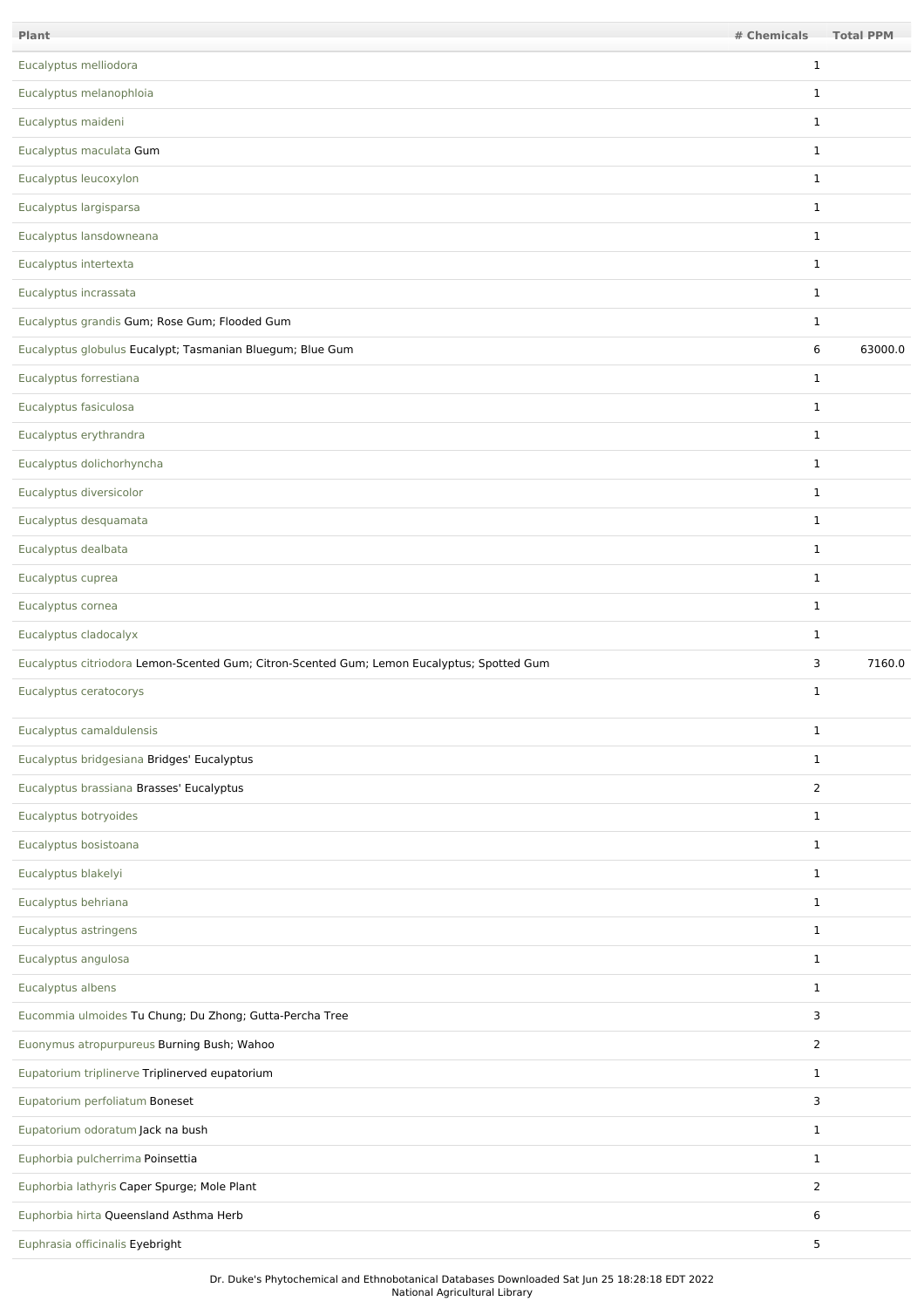| Plant                                                                                      | # Chemicals    | <b>Total PPM</b> |
|--------------------------------------------------------------------------------------------|----------------|------------------|
| Eucalyptus melliodora                                                                      | $\mathbf{1}$   |                  |
| Eucalyptus melanophloia                                                                    | $\mathbf{1}$   |                  |
| Eucalyptus maideni                                                                         | $\mathbf{1}$   |                  |
| Eucalyptus maculata Gum                                                                    | $\mathbf{1}$   |                  |
| Eucalyptus leucoxylon                                                                      | $\mathbf{1}$   |                  |
| Eucalyptus largisparsa                                                                     | $\mathbf{1}$   |                  |
| Eucalyptus lansdowneana                                                                    | $\mathbf{1}$   |                  |
| Eucalyptus intertexta                                                                      | $\mathbf{1}$   |                  |
| Eucalyptus incrassata                                                                      | $\mathbf{1}$   |                  |
| Eucalyptus grandis Gum; Rose Gum; Flooded Gum                                              | $\mathbf{1}$   |                  |
| Eucalyptus globulus Eucalypt; Tasmanian Bluegum; Blue Gum                                  | 6              | 63000.0          |
| Eucalyptus forrestiana                                                                     | $\mathbf{1}$   |                  |
| Eucalyptus fasiculosa                                                                      | $\mathbf{1}$   |                  |
| Eucalyptus erythrandra                                                                     | $\mathbf{1}$   |                  |
| Eucalyptus dolichorhyncha                                                                  | $\mathbf{1}$   |                  |
| Eucalyptus diversicolor                                                                    | $\mathbf{1}$   |                  |
| Eucalyptus desquamata                                                                      | $\mathbf{1}$   |                  |
| Eucalyptus dealbata                                                                        | $\mathbf{1}$   |                  |
| Eucalyptus cuprea                                                                          | $\mathbf{1}$   |                  |
| Eucalyptus cornea                                                                          | $\mathbf{1}$   |                  |
| Eucalyptus cladocalyx                                                                      | $\mathbf{1}$   |                  |
| Eucalyptus citriodora Lemon-Scented Gum; Citron-Scented Gum; Lemon Eucalyptus; Spotted Gum | 3              | 7160.0           |
| Eucalyptus ceratocorys                                                                     | $\mathbf{1}$   |                  |
| Eucalyptus camaldulensis                                                                   | $\mathbf{1}$   |                  |
| Eucalyptus bridgesiana Bridges' Eucalyptus                                                 | $\mathbf{1}$   |                  |
| Eucalyptus brassiana Brasses' Eucalyptus                                                   | $\overline{2}$ |                  |
| Eucalyptus botryoides                                                                      | $\mathbf{1}$   |                  |
| Eucalyptus bosistoana                                                                      | $\mathbf{1}$   |                  |
| Eucalyptus blakelyi                                                                        | $\mathbf{1}$   |                  |
| Eucalyptus behriana                                                                        | $\mathbf{1}$   |                  |
| Eucalyptus astringens                                                                      | $\mathbf{1}$   |                  |
| Eucalyptus angulosa                                                                        | $\mathbf{1}$   |                  |
| Eucalyptus albens                                                                          | $\mathbf{1}$   |                  |
| Eucommia ulmoides Tu Chung; Du Zhong; Gutta-Percha Tree                                    | 3              |                  |
| Euonymus atropurpureus Burning Bush; Wahoo                                                 | $\overline{2}$ |                  |
| Eupatorium triplinerve Triplinerved eupatorium                                             | $\mathbf{1}$   |                  |
| Eupatorium perfoliatum Boneset                                                             | 3              |                  |
| Eupatorium odoratum Jack na bush                                                           | $\mathbf{1}$   |                  |
| Euphorbia pulcherrima Poinsettia                                                           | $\mathbf{1}$   |                  |
| Euphorbia lathyris Caper Spurge; Mole Plant                                                | 2              |                  |
| Euphorbia hirta Queensland Asthma Herb                                                     | 6              |                  |
| Euphrasia officinalis Eyebright                                                            | 5              |                  |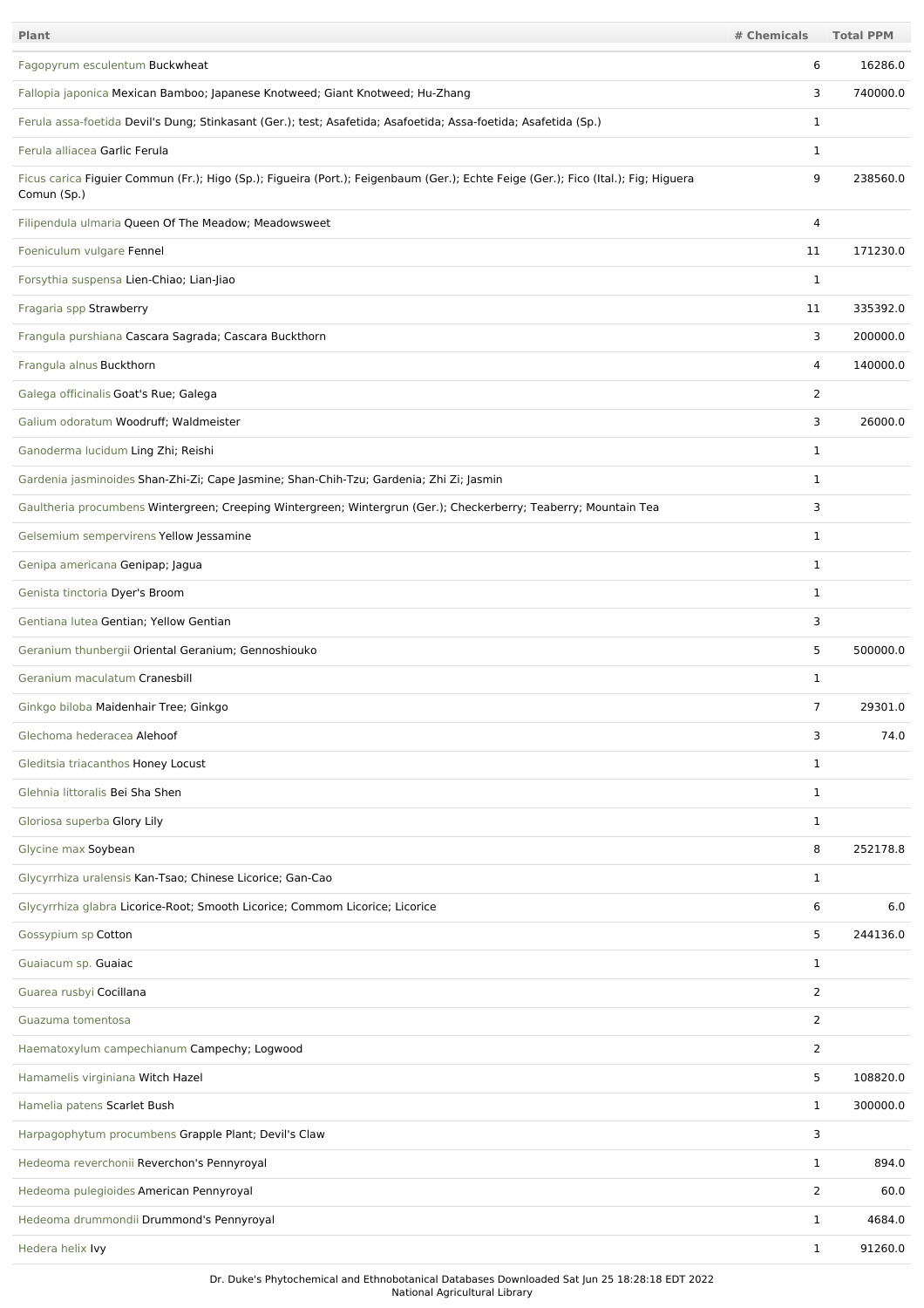| <b>Plant</b>                                                                                                                                      | # Chemicals    | <b>Total PPM</b> |
|---------------------------------------------------------------------------------------------------------------------------------------------------|----------------|------------------|
| Fagopyrum esculentum Buckwheat                                                                                                                    | 6              | 16286.0          |
| Fallopia japonica Mexican Bamboo; Japanese Knotweed; Giant Knotweed; Hu-Zhang                                                                     | 3              | 740000.0         |
| Ferula assa-foetida Devil's Dung; Stinkasant (Ger.); test; Asafetida; Asafoetida; Assa-foetida; Asafetida (Sp.)                                   | $\mathbf 1$    |                  |
| Ferula alliacea Garlic Ferula                                                                                                                     | 1              |                  |
| Ficus carica Figuier Commun (Fr.); Higo (Sp.); Figueira (Port.); Feigenbaum (Ger.); Echte Feige (Ger.); Fico (Ital.); Fig; Higuera<br>Comun (Sp.) | 9              | 238560.0         |
| Filipendula ulmaria Queen Of The Meadow; Meadowsweet                                                                                              | 4              |                  |
| Foeniculum vulgare Fennel                                                                                                                         | 11             | 171230.0         |
| Forsythia suspensa Lien-Chiao; Lian-Jiao                                                                                                          | 1              |                  |
| Fragaria spp Strawberry                                                                                                                           | 11             | 335392.0         |
| Frangula purshiana Cascara Sagrada; Cascara Buckthorn                                                                                             | 3              | 200000.0         |
| Frangula alnus Buckthorn                                                                                                                          | 4              | 140000.0         |
| Galega officinalis Goat's Rue; Galega                                                                                                             | 2              |                  |
| Galium odoratum Woodruff; Waldmeister                                                                                                             | 3              | 26000.0          |
| Ganoderma lucidum Ling Zhi; Reishi                                                                                                                | 1              |                  |
| Gardenia jasminoides Shan-Zhi-Zi; Cape Jasmine; Shan-Chih-Tzu; Gardenia; Zhi Zi; Jasmin                                                           | 1              |                  |
| Gaultheria procumbens Wintergreen; Creeping Wintergreen; Wintergrun (Ger.); Checkerberry; Teaberry; Mountain Tea                                  | 3              |                  |
| Gelsemium sempervirens Yellow Jessamine                                                                                                           | $\mathbf 1$    |                  |
| Genipa americana Genipap; Jagua                                                                                                                   | $\mathbf 1$    |                  |
| Genista tinctoria Dyer's Broom                                                                                                                    | 1              |                  |
| Gentiana lutea Gentian; Yellow Gentian                                                                                                            | 3              |                  |
| Geranium thunbergii Oriental Geranium; Gennoshiouko                                                                                               | 5              | 500000.0         |
| Geranium maculatum Cranesbill                                                                                                                     | 1              |                  |
| Ginkgo biloba Maidenhair Tree; Ginkgo                                                                                                             | 7              | 29301.0          |
| Glechoma hederacea Alehoof                                                                                                                        | 3              | 74.0             |
| Gleditsia triacanthos Honey Locust                                                                                                                | $\mathbf{1}$   |                  |
| Glehnia littoralis Bei Sha Shen                                                                                                                   | $\mathbf{1}$   |                  |
| Gloriosa superba Glory Lily                                                                                                                       | $\mathbf{1}$   |                  |
| Glycine max Soybean                                                                                                                               | 8              | 252178.8         |
| Glycyrrhiza uralensis Kan-Tsao; Chinese Licorice; Gan-Cao                                                                                         | $\mathbf 1$    |                  |
| Glycyrrhiza glabra Licorice-Root; Smooth Licorice; Commom Licorice; Licorice                                                                      | 6              | 6.0              |
| Gossypium sp Cotton                                                                                                                               | 5              | 244136.0         |
| Guaiacum sp. Guaiac                                                                                                                               | 1              |                  |
| Guarea rusbyi Cocillana                                                                                                                           | 2              |                  |
| Guazuma tomentosa                                                                                                                                 | $\overline{2}$ |                  |
| Haematoxylum campechianum Campechy; Logwood                                                                                                       | $\overline{2}$ |                  |
| Hamamelis virginiana Witch Hazel                                                                                                                  | 5              | 108820.0         |
| Hamelia patens Scarlet Bush                                                                                                                       | 1              | 300000.0         |
| Harpagophytum procumbens Grapple Plant; Devil's Claw                                                                                              | 3              |                  |
| Hedeoma reverchonii Reverchon's Pennyroyal                                                                                                        | 1              | 894.0            |
| Hedeoma pulegioides American Pennyroyal                                                                                                           | 2              | 60.0             |
| Hedeoma drummondii Drummond's Pennyroyal                                                                                                          | 1              | 4684.0           |
| Hedera helix Ivy                                                                                                                                  | $\mathbf{1}$   | 91260.0          |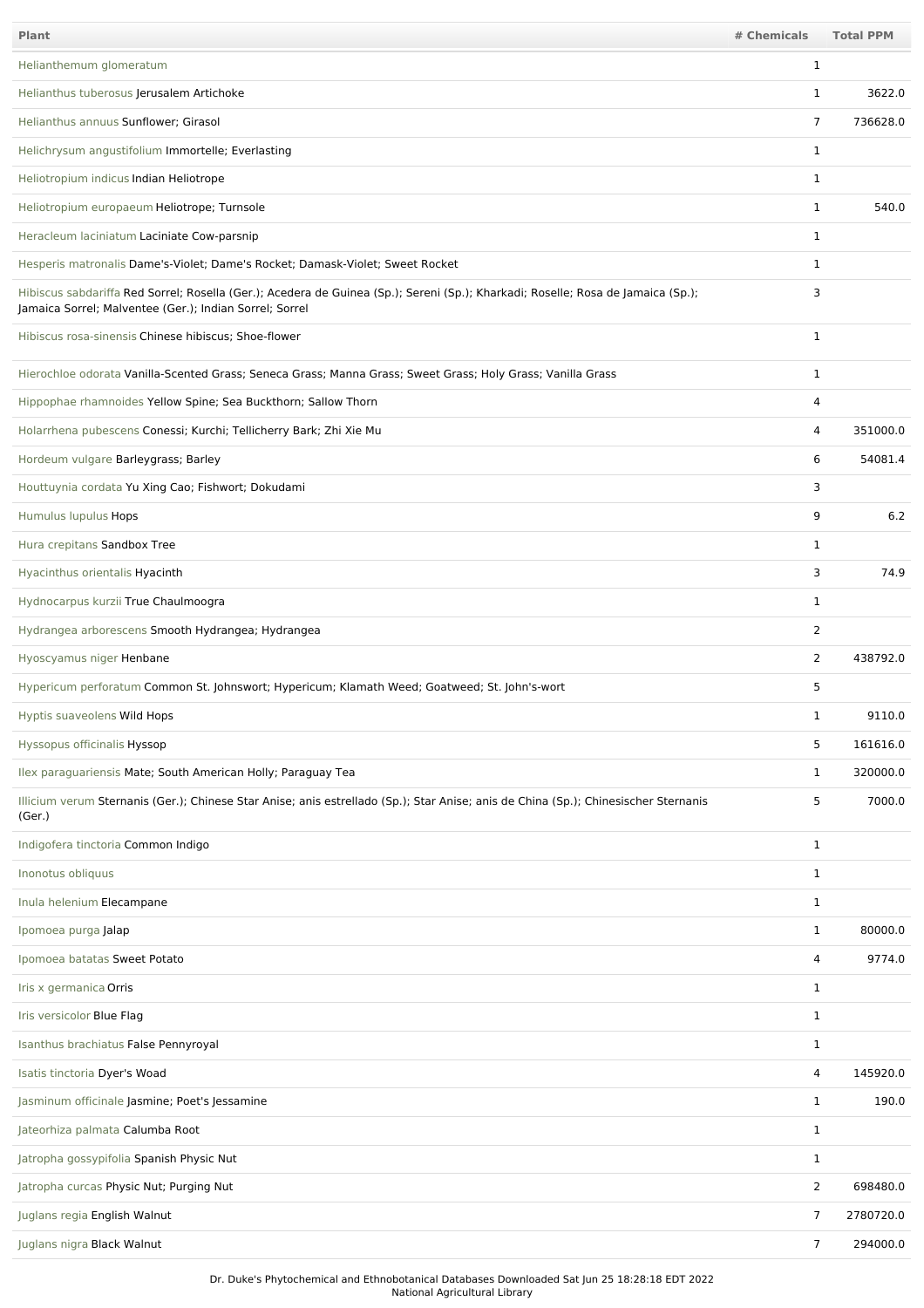| <b>Plant</b>                                                                                                                                                                                | # Chemicals  | <b>Total PPM</b> |
|---------------------------------------------------------------------------------------------------------------------------------------------------------------------------------------------|--------------|------------------|
| Helianthemum glomeratum                                                                                                                                                                     | 1            |                  |
| Helianthus tuberosus Jerusalem Artichoke                                                                                                                                                    | 1            | 3622.0           |
| Helianthus annuus Sunflower; Girasol                                                                                                                                                        | 7            | 736628.0         |
| Helichrysum angustifolium Immortelle; Everlasting                                                                                                                                           | $\mathbf{1}$ |                  |
| Heliotropium indicus Indian Heliotrope                                                                                                                                                      | $\mathbf 1$  |                  |
| Heliotropium europaeum Heliotrope; Turnsole                                                                                                                                                 | $\mathbf{1}$ | 540.0            |
| Heracleum laciniatum Laciniate Cow-parsnip                                                                                                                                                  | $\mathbf{1}$ |                  |
| Hesperis matronalis Dame's-Violet; Dame's Rocket; Damask-Violet; Sweet Rocket                                                                                                               | $\mathbf{1}$ |                  |
| Hibiscus sabdariffa Red Sorrel; Rosella (Ger.); Acedera de Guinea (Sp.); Sereni (Sp.); Kharkadi; Roselle; Rosa de Jamaica (Sp.);<br>Jamaica Sorrel; Malventee (Ger.); Indian Sorrel; Sorrel | 3            |                  |
| Hibiscus rosa-sinensis Chinese hibiscus; Shoe-flower                                                                                                                                        | $\mathbf{1}$ |                  |
| Hierochloe odorata Vanilla-Scented Grass; Seneca Grass; Manna Grass; Sweet Grass; Holy Grass; Vanilla Grass                                                                                 | $\mathbf{1}$ |                  |
| Hippophae rhamnoides Yellow Spine; Sea Buckthorn; Sallow Thorn                                                                                                                              | 4            |                  |
| Holarrhena pubescens Conessi; Kurchi; Tellicherry Bark; Zhi Xie Mu                                                                                                                          | 4            | 351000.0         |
| Hordeum vulgare Barleygrass; Barley                                                                                                                                                         | 6            | 54081.4          |
| Houttuynia cordata Yu Xing Cao; Fishwort; Dokudami                                                                                                                                          | 3            |                  |
| Humulus lupulus Hops                                                                                                                                                                        | 9            | 6.2              |
| Hura crepitans Sandbox Tree                                                                                                                                                                 | $\mathbf{1}$ |                  |
| Hyacinthus orientalis Hyacinth                                                                                                                                                              | 3            | 74.9             |
| Hydnocarpus kurzii True Chaulmoogra                                                                                                                                                         | $\mathbf{1}$ |                  |
| Hydrangea arborescens Smooth Hydrangea; Hydrangea                                                                                                                                           | 2            |                  |
| Hyoscyamus niger Henbane                                                                                                                                                                    | 2            | 438792.0         |
| Hypericum perforatum Common St. Johnswort; Hypericum; Klamath Weed; Goatweed; St. John's-wort                                                                                               | 5            |                  |
| Hyptis suaveolens Wild Hops                                                                                                                                                                 | 1            | 9110.0           |
| Hyssopus officinalis Hyssop                                                                                                                                                                 | 5            | 161616.0         |
| Ilex paraguariensis Mate; South American Holly; Paraguay Tea                                                                                                                                | 1            | 320000.0         |
| Illicium verum Sternanis (Ger.); Chinese Star Anise; anis estrellado (Sp.); Star Anise; anis de China (Sp.); Chinesischer Sternanis<br>(Ger.)                                               | 5            | 7000.0           |
| Indigofera tinctoria Common Indigo                                                                                                                                                          | $\mathbf{1}$ |                  |
| Inonotus obliquus                                                                                                                                                                           | 1            |                  |
| Inula helenium Elecampane                                                                                                                                                                   | $\mathbf{1}$ |                  |
| Ipomoea purga Jalap                                                                                                                                                                         | $\mathbf{1}$ | 80000.0          |
| Ipomoea batatas Sweet Potato                                                                                                                                                                | 4            | 9774.0           |
| Iris x germanica Orris                                                                                                                                                                      | $\mathbf{1}$ |                  |
| Iris versicolor Blue Flag                                                                                                                                                                   | 1            |                  |
| Isanthus brachiatus False Pennyroyal                                                                                                                                                        | 1            |                  |
| Isatis tinctoria Dyer's Woad                                                                                                                                                                | 4            | 145920.0         |
| Jasminum officinale Jasmine; Poet's Jessamine                                                                                                                                               | $\mathbf{1}$ | 190.0            |
| Jateorhiza palmata Calumba Root                                                                                                                                                             | $\mathbf 1$  |                  |
| Jatropha gossypifolia Spanish Physic Nut                                                                                                                                                    | $\mathbf{1}$ |                  |
| Jatropha curcas Physic Nut; Purging Nut                                                                                                                                                     | 2            | 698480.0         |
| Juglans regia English Walnut                                                                                                                                                                | 7            | 2780720.0        |
| Juglans nigra Black Walnut                                                                                                                                                                  | 7            | 294000.0         |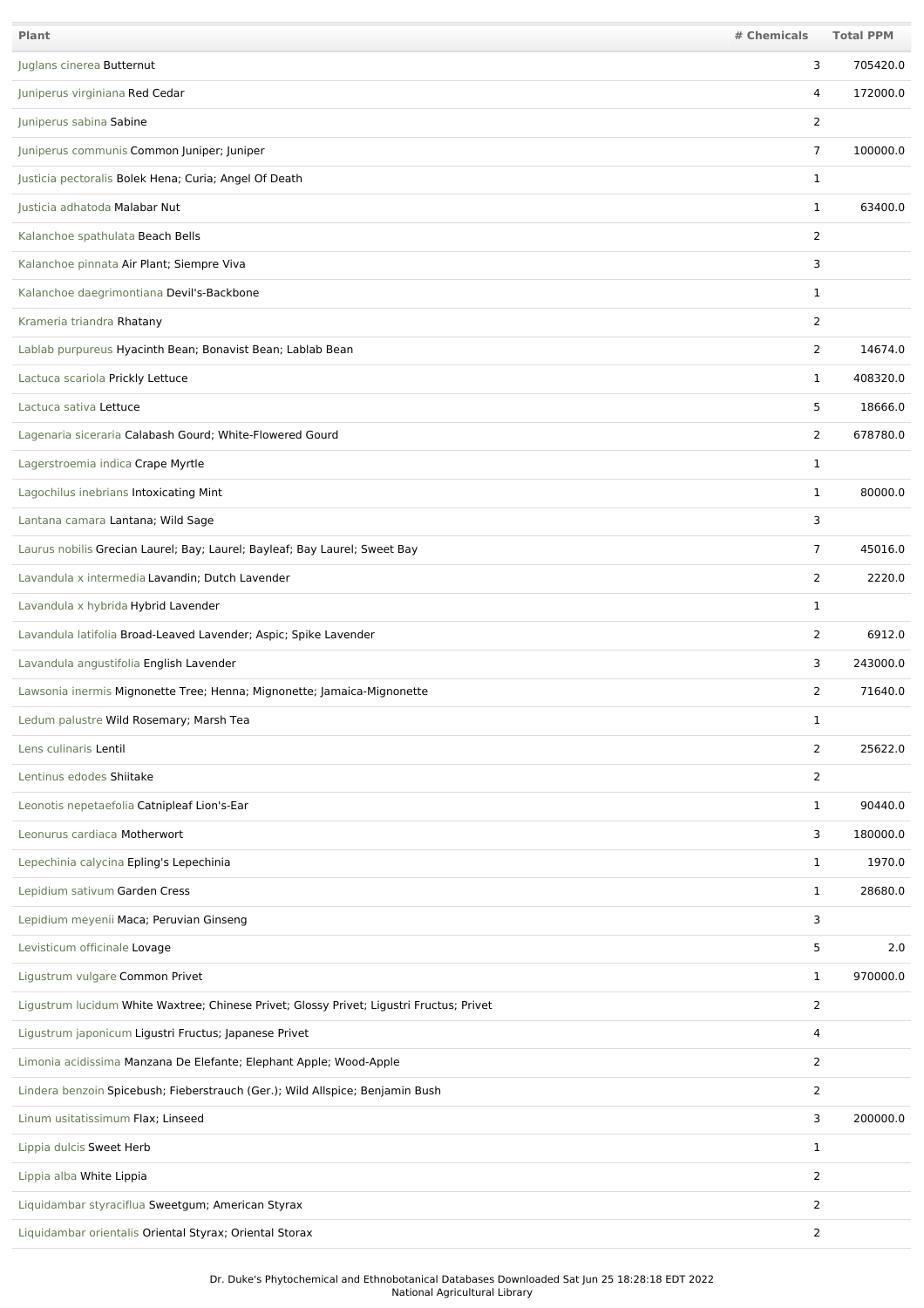| Plant                                                                                    | # Chemicals    | <b>Total PPM</b> |
|------------------------------------------------------------------------------------------|----------------|------------------|
| Juglans cinerea Butternut                                                                | 3              | 705420.0         |
| Juniperus virginiana Red Cedar                                                           | 4              | 172000.0         |
| Juniperus sabina Sabine                                                                  | 2              |                  |
| Juniperus communis Common Juniper; Juniper                                               | $\overline{7}$ | 100000.0         |
| Justicia pectoralis Bolek Hena; Curia; Angel Of Death                                    | $\mathbf 1$    |                  |
| Justicia adhatoda Malabar Nut                                                            | 1              | 63400.0          |
| Kalanchoe spathulata Beach Bells                                                         | 2              |                  |
| Kalanchoe pinnata Air Plant; Siempre Viva                                                | 3              |                  |
| Kalanchoe daegrimontiana Devil's-Backbone                                                | 1              |                  |
| Krameria triandra Rhatany                                                                | $\overline{2}$ |                  |
| Lablab purpureus Hyacinth Bean; Bonavist Bean; Lablab Bean                               | 2              | 14674.0          |
| Lactuca scariola Prickly Lettuce                                                         | 1              | 408320.0         |
| Lactuca sativa Lettuce                                                                   | 5              | 18666.0          |
| Lagenaria siceraria Calabash Gourd; White-Flowered Gourd                                 | 2              | 678780.0         |
| Lagerstroemia indica Crape Myrtle                                                        | 1              |                  |
| Lagochilus inebrians Intoxicating Mint                                                   | 1              | 80000.0          |
| Lantana camara Lantana; Wild Sage                                                        | 3              |                  |
| Laurus nobilis Grecian Laurel; Bay; Laurel; Bayleaf; Bay Laurel; Sweet Bay               | 7              | 45016.0          |
| Lavandula x intermedia Lavandin; Dutch Lavender                                          | 2              | 2220.0           |
| Lavandula x hybrida Hybrid Lavender                                                      | 1              |                  |
| Lavandula latifolia Broad-Leaved Lavender; Aspic; Spike Lavender                         | 2              | 6912.0           |
| Lavandula angustifolia English Lavender                                                  | 3              | 243000.0         |
| Lawsonia inermis Mignonette Tree; Henna; Mignonette; Jamaica-Mignonette                  | 2              | 71640.0          |
| Ledum palustre Wild Rosemary; Marsh Tea                                                  | 1              |                  |
| Lens culinaris Lentil                                                                    | 2              | 25622.0          |
| Lentinus edodes Shiitake                                                                 | $\overline{2}$ |                  |
| Leonotis nepetaefolia Catnipleaf Lion's-Ear                                              | $\mathbf{1}$   | 90440.0          |
| Leonurus cardiaca Motherwort                                                             | 3              | 180000.0         |
| Lepechinia calycina Epling's Lepechinia                                                  | $\mathbf{1}$   | 1970.0           |
| Lepidium sativum Garden Cress                                                            | $\mathbf{1}$   | 28680.0          |
| Lepidium meyenii Maca; Peruvian Ginseng                                                  | 3              |                  |
| Levisticum officinale Lovage                                                             | 5              | 2.0              |
| Ligustrum vulgare Common Privet                                                          | 1              | 970000.0         |
| Ligustrum lucidum White Waxtree; Chinese Privet; Glossy Privet; Ligustri Fructus; Privet | $\overline{2}$ |                  |
| Ligustrum japonicum Ligustri Fructus; Japanese Privet                                    | 4              |                  |
| Limonia acidissima Manzana De Elefante; Elephant Apple; Wood-Apple                       | $\overline{2}$ |                  |
| Lindera benzoin Spicebush; Fieberstrauch (Ger.); Wild Allspice; Benjamin Bush            | $\overline{2}$ |                  |
| Linum usitatissimum Flax; Linseed                                                        | 3              | 200000.0         |
| Lippia dulcis Sweet Herb                                                                 | 1              |                  |
| Lippia alba White Lippia                                                                 | $\overline{2}$ |                  |
| Liquidambar styraciflua Sweetgum; American Styrax                                        | 2              |                  |
| Liquidambar orientalis Oriental Styrax; Oriental Storax                                  | $\overline{2}$ |                  |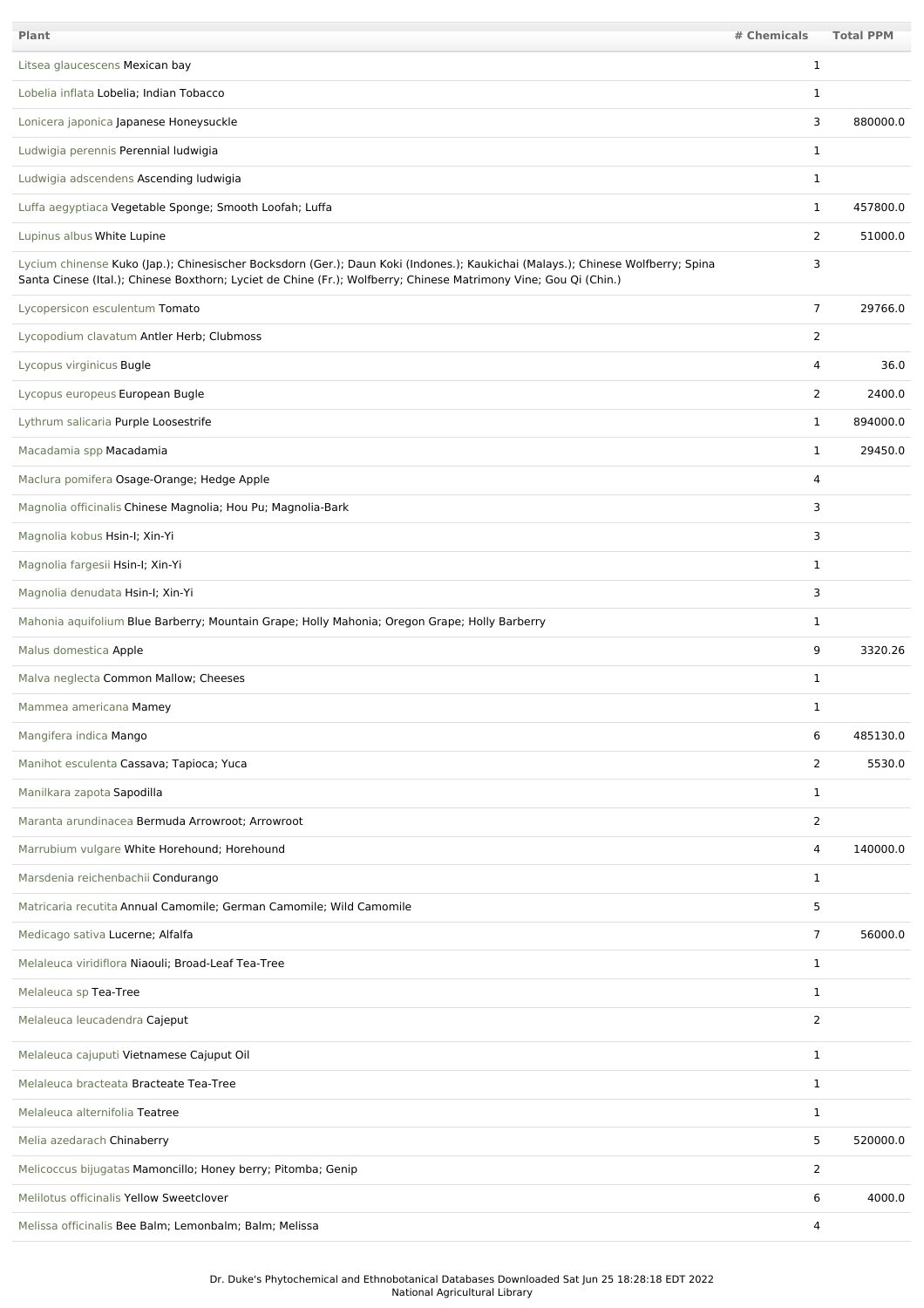| <b>Plant</b>                                                                                                                                                                                                                                        | # Chemicals    | <b>Total PPM</b> |
|-----------------------------------------------------------------------------------------------------------------------------------------------------------------------------------------------------------------------------------------------------|----------------|------------------|
| Litsea glaucescens Mexican bay                                                                                                                                                                                                                      | 1              |                  |
| Lobelia inflata Lobelia; Indian Tobacco                                                                                                                                                                                                             | 1              |                  |
| Lonicera japonica Japanese Honeysuckle                                                                                                                                                                                                              | 3              | 880000.0         |
| Ludwigia perennis Perennial ludwigia                                                                                                                                                                                                                | $\mathbf 1$    |                  |
| Ludwigia adscendens Ascending ludwigia                                                                                                                                                                                                              | $\mathbf{1}$   |                  |
| Luffa aegyptiaca Vegetable Sponge; Smooth Loofah; Luffa                                                                                                                                                                                             | $\mathbf{1}$   | 457800.0         |
| Lupinus albus White Lupine                                                                                                                                                                                                                          | $\overline{2}$ | 51000.0          |
| Lycium chinense Kuko (Jap.); Chinesischer Bocksdorn (Ger.); Daun Koki (Indones.); Kaukichai (Malays.); Chinese Wolfberry; Spina<br>Santa Cinese (Ital.); Chinese Boxthorn; Lyciet de Chine (Fr.); Wolfberry; Chinese Matrimony Vine; Gou Qi (Chin.) | 3              |                  |
| Lycopersicon esculentum Tomato                                                                                                                                                                                                                      | $\overline{7}$ | 29766.0          |
| Lycopodium clavatum Antler Herb; Clubmoss                                                                                                                                                                                                           | $\overline{2}$ |                  |
| Lycopus virginicus Bugle                                                                                                                                                                                                                            | 4              | 36.0             |
| Lycopus europeus European Bugle                                                                                                                                                                                                                     | $\overline{2}$ | 2400.0           |
| Lythrum salicaria Purple Loosestrife                                                                                                                                                                                                                | $\mathbf{1}$   | 894000.0         |
| Macadamia spp Macadamia                                                                                                                                                                                                                             | $\mathbf{1}$   | 29450.0          |
| Maclura pomifera Osage-Orange; Hedge Apple                                                                                                                                                                                                          | 4              |                  |
| Magnolia officinalis Chinese Magnolia; Hou Pu; Magnolia-Bark                                                                                                                                                                                        | 3              |                  |
| Magnolia kobus Hsin-I; Xin-Yi                                                                                                                                                                                                                       | 3              |                  |
| Magnolia fargesii Hsin-I; Xin-Yi                                                                                                                                                                                                                    | $\mathbf 1$    |                  |
| Magnolia denudata Hsin-I; Xin-Yi                                                                                                                                                                                                                    | 3              |                  |
| Mahonia aquifolium Blue Barberry; Mountain Grape; Holly Mahonia; Oregon Grape; Holly Barberry                                                                                                                                                       | $\mathbf{1}$   |                  |
| Malus domestica Apple                                                                                                                                                                                                                               | 9              | 3320.26          |
| Malva neglecta Common Mallow; Cheeses                                                                                                                                                                                                               | $\mathbf{1}$   |                  |
| Mammea americana Mamey                                                                                                                                                                                                                              | $\mathbf 1$    |                  |
| Mangifera indica Mango                                                                                                                                                                                                                              | 6              | 485130.0         |
| Manihot esculenta Cassava; Tapioca; Yuca                                                                                                                                                                                                            | $\overline{2}$ | 5530.0           |
| Manilkara zapota Sapodilla                                                                                                                                                                                                                          | 1              |                  |
| Maranta arundinacea Bermuda Arrowroot; Arrowroot                                                                                                                                                                                                    | $\overline{2}$ |                  |
| Marrubium vulgare White Horehound; Horehound                                                                                                                                                                                                        | 4              | 140000.0         |
| Marsdenia reichenbachii Condurango                                                                                                                                                                                                                  | $\mathbf{1}$   |                  |
| Matricaria recutita Annual Camomile; German Camomile; Wild Camomile                                                                                                                                                                                 | 5              |                  |
| Medicago sativa Lucerne; Alfalfa                                                                                                                                                                                                                    | $\overline{7}$ | 56000.0          |
| Melaleuca viridiflora Niaouli; Broad-Leaf Tea-Tree                                                                                                                                                                                                  | $\mathbf{1}$   |                  |
| Melaleuca sp Tea-Tree                                                                                                                                                                                                                               | 1              |                  |
| Melaleuca leucadendra Cajeput                                                                                                                                                                                                                       | $\overline{2}$ |                  |
| Melaleuca cajuputi Vietnamese Cajuput Oil                                                                                                                                                                                                           | $\mathbf{1}$   |                  |
| Melaleuca bracteata Bracteate Tea-Tree                                                                                                                                                                                                              | $\mathbf{1}$   |                  |
| Melaleuca alternifolia Teatree                                                                                                                                                                                                                      | $\mathbf{1}$   |                  |
| Melia azedarach Chinaberry                                                                                                                                                                                                                          | 5              | 520000.0         |
| Melicoccus bijugatas Mamoncillo; Honey berry; Pitomba; Genip                                                                                                                                                                                        | $\overline{2}$ |                  |
| Melilotus officinalis Yellow Sweetclover                                                                                                                                                                                                            | 6              | 4000.0           |
| Melissa officinalis Bee Balm; Lemonbalm; Balm; Melissa                                                                                                                                                                                              | 4              |                  |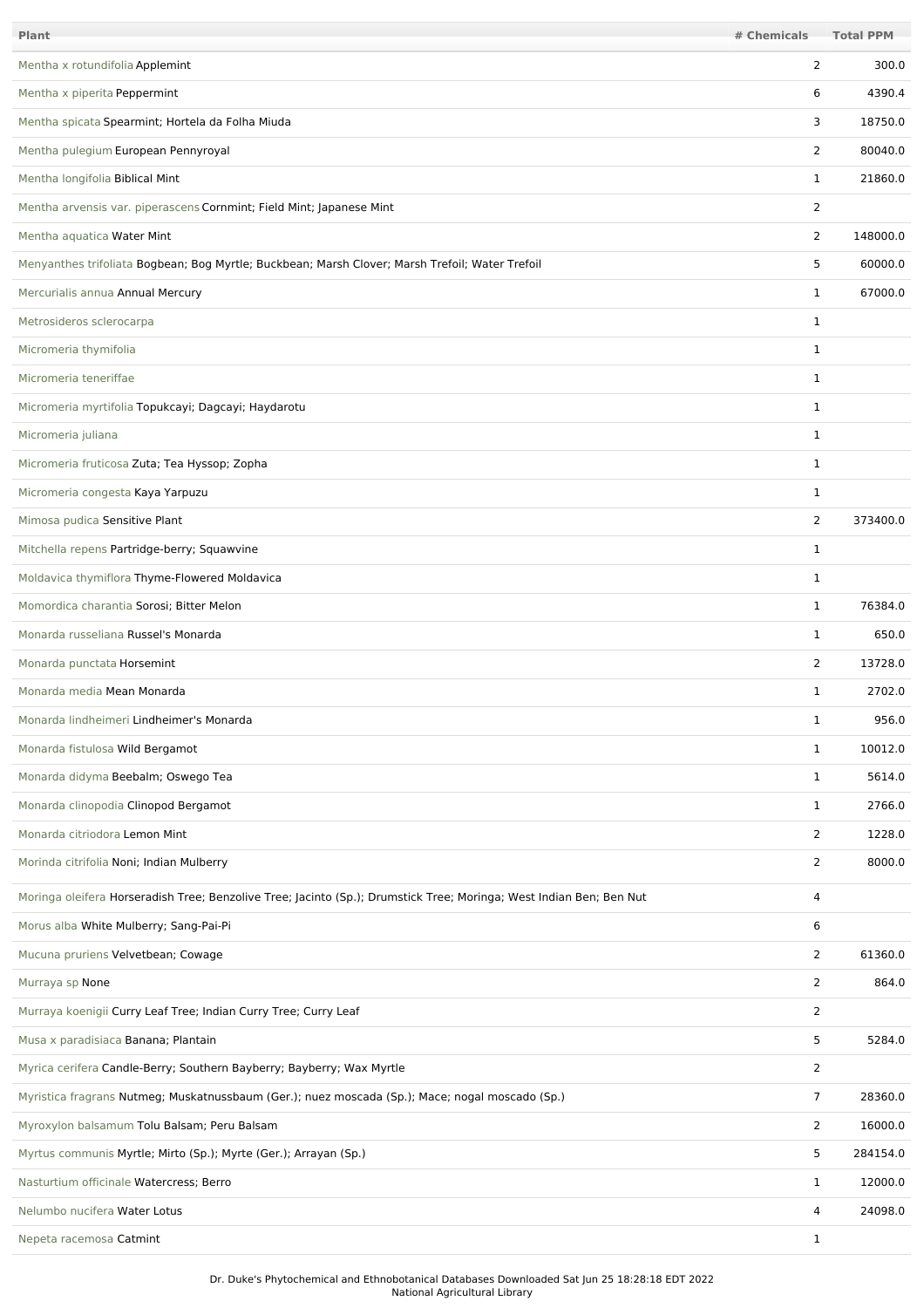| Plant                                                                                                               | # Chemicals    | <b>Total PPM</b> |
|---------------------------------------------------------------------------------------------------------------------|----------------|------------------|
| Mentha x rotundifolia Applemint                                                                                     | 2              | 300.0            |
| Mentha x piperita Peppermint                                                                                        | 6              | 4390.4           |
| Mentha spicata Spearmint; Hortela da Folha Miuda                                                                    | 3              | 18750.0          |
| Mentha pulegium European Pennyroyal                                                                                 | 2              | 80040.0          |
| Mentha longifolia Biblical Mint                                                                                     | $\mathbf 1$    | 21860.0          |
| Mentha arvensis var. piperascens Cornmint; Field Mint; Japanese Mint                                                | 2              |                  |
| Mentha aquatica Water Mint                                                                                          | 2              | 148000.0         |
| Menyanthes trifoliata Bogbean; Bog Myrtle; Buckbean; Marsh Clover; Marsh Trefoil; Water Trefoil                     | 5              | 60000.0          |
| Mercurialis annua Annual Mercury                                                                                    | $\mathbf 1$    | 67000.0          |
| Metrosideros sclerocarpa                                                                                            | 1              |                  |
| Micromeria thymifolia                                                                                               | 1              |                  |
| Micromeria teneriffae                                                                                               | 1              |                  |
| Micromeria myrtifolia Topukcayi; Dagcayi; Haydarotu                                                                 | $\mathbf 1$    |                  |
| Micromeria juliana                                                                                                  | $\mathbf 1$    |                  |
| Micromeria fruticosa Zuta; Tea Hyssop; Zopha                                                                        | $\mathbf 1$    |                  |
| Micromeria congesta Kaya Yarpuzu                                                                                    | 1              |                  |
| Mimosa pudica Sensitive Plant                                                                                       | 2              | 373400.0         |
| Mitchella repens Partridge-berry; Squawvine                                                                         | 1              |                  |
| Moldavica thymiflora Thyme-Flowered Moldavica                                                                       | 1              |                  |
| Momordica charantia Sorosi; Bitter Melon                                                                            | $\mathbf 1$    | 76384.0          |
| Monarda russeliana Russel's Monarda                                                                                 | $\mathbf 1$    | 650.0            |
| Monarda punctata Horsemint                                                                                          | $\overline{2}$ | 13728.0          |
| Monarda media Mean Monarda                                                                                          | 1              | 2702.0           |
| Monarda lindheimeri Lindheimer's Monarda                                                                            | 1              | 956.0            |
| Monarda fistulosa Wild Bergamot                                                                                     | 1              | 10012.0          |
| Monarda didyma Beebalm; Oswego Tea                                                                                  | $\mathbf 1$    | 5614.0           |
| Monarda clinopodia Clinopod Bergamot                                                                                | $\mathbf{1}$   | 2766.0           |
| Monarda citriodora Lemon Mint                                                                                       | 2              | 1228.0           |
| Morinda citrifolia Noni; Indian Mulberry                                                                            | 2              | 8000.0           |
| Moringa oleifera Horseradish Tree; Benzolive Tree; Jacinto (Sp.); Drumstick Tree; Moringa; West Indian Ben; Ben Nut | 4              |                  |
| Morus alba White Mulberry; Sang-Pai-Pi                                                                              | 6              |                  |
| Mucuna pruriens Velvetbean; Cowage                                                                                  | $\overline{2}$ | 61360.0          |
| Murraya sp None                                                                                                     | 2              | 864.0            |
| Murraya koenigii Curry Leaf Tree; Indian Curry Tree; Curry Leaf                                                     | $\overline{2}$ |                  |
| Musa x paradisiaca Banana; Plantain                                                                                 | 5              | 5284.0           |
| Myrica cerifera Candle-Berry; Southern Bayberry; Bayberry; Wax Myrtle                                               | $\overline{2}$ |                  |
| Myristica fragrans Nutmeg; Muskatnussbaum (Ger.); nuez moscada (Sp.); Mace; nogal moscado (Sp.)                     | $\overline{7}$ | 28360.0          |
| Myroxylon balsamum Tolu Balsam; Peru Balsam                                                                         | $\overline{2}$ | 16000.0          |
| Myrtus communis Myrtle; Mirto (Sp.); Myrte (Ger.); Arrayan (Sp.)                                                    | 5              | 284154.0         |
| Nasturtium officinale Watercress; Berro                                                                             | 1              | 12000.0          |
| Nelumbo nucifera Water Lotus                                                                                        | 4              | 24098.0          |
| Nepeta racemosa Catmint                                                                                             | 1              |                  |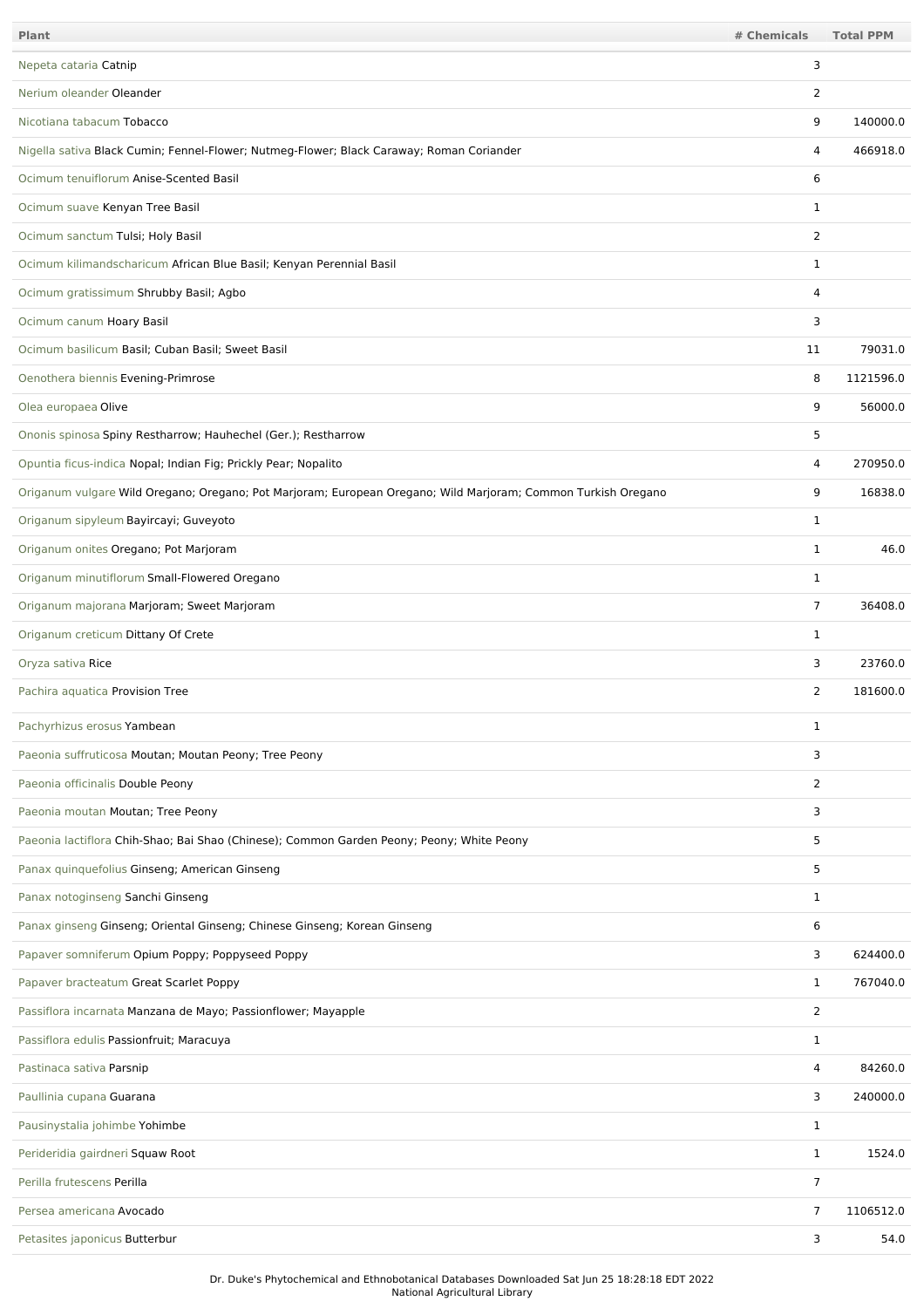| Plant                                                                                                         | # Chemicals    | <b>Total PPM</b> |
|---------------------------------------------------------------------------------------------------------------|----------------|------------------|
| Nepeta cataria Catnip                                                                                         | 3              |                  |
| Nerium oleander Oleander                                                                                      | 2              |                  |
| Nicotiana tabacum Tobacco                                                                                     | 9              | 140000.0         |
| Nigella sativa Black Cumin; Fennel-Flower; Nutmeg-Flower; Black Caraway; Roman Coriander                      | 4              | 466918.0         |
| Ocimum tenuiflorum Anise-Scented Basil                                                                        | 6              |                  |
| Ocimum suave Kenyan Tree Basil                                                                                | 1              |                  |
| Ocimum sanctum Tulsi; Holy Basil                                                                              | 2              |                  |
| Ocimum kilimandscharicum African Blue Basil; Kenyan Perennial Basil                                           | $\mathbf{1}$   |                  |
| Ocimum gratissimum Shrubby Basil; Agbo                                                                        | 4              |                  |
| Ocimum canum Hoary Basil                                                                                      | 3              |                  |
| Ocimum basilicum Basil; Cuban Basil; Sweet Basil                                                              | 11             | 79031.0          |
| Oenothera biennis Evening-Primrose                                                                            | 8              | 1121596.0        |
| Olea europaea Olive                                                                                           | 9              | 56000.0          |
| Ononis spinosa Spiny Restharrow; Hauhechel (Ger.); Restharrow                                                 | 5              |                  |
| Opuntia ficus-indica Nopal; Indian Fig; Prickly Pear; Nopalito                                                | 4              | 270950.0         |
| Origanum vulgare Wild Oregano; Oregano; Pot Marjoram; European Oregano; Wild Marjoram; Common Turkish Oregano | 9              | 16838.0          |
| Origanum sipyleum Bayircayi; Guveyoto                                                                         | 1              |                  |
| Origanum onites Oregano; Pot Marjoram                                                                         | $\mathbf{1}$   | 46.0             |
| Origanum minutiflorum Small-Flowered Oregano                                                                  | $\mathbf 1$    |                  |
| Origanum majorana Marjoram; Sweet Marjoram                                                                    | $\overline{7}$ | 36408.0          |
| Origanum creticum Dittany Of Crete                                                                            | $\mathbf{1}$   |                  |
| Oryza sativa Rice                                                                                             | 3              | 23760.0          |
| Pachira aquatica Provision Tree                                                                               | 2              | 181600.0         |
| Pachyrhizus erosus Yambean                                                                                    | 1              |                  |
| Paeonia suffruticosa Moutan; Moutan Peony; Tree Peony                                                         | 3              |                  |
| Paeonia officinalis Double Peony                                                                              | $\overline{2}$ |                  |
| Paeonia moutan Moutan; Tree Peony                                                                             | 3              |                  |
| Paeonia lactiflora Chih-Shao; Bai Shao (Chinese); Common Garden Peony; Peony; White Peony                     | 5              |                  |
| Panax quinquefolius Ginseng; American Ginseng                                                                 | 5              |                  |
| Panax notoginseng Sanchi Ginseng                                                                              | $\mathbf{1}$   |                  |
| Panax ginseng Ginseng; Oriental Ginseng; Chinese Ginseng; Korean Ginseng                                      | 6              |                  |
| Papaver somniferum Opium Poppy; Poppyseed Poppy                                                               | 3              | 624400.0         |
| Papaver bracteatum Great Scarlet Poppy                                                                        | $\mathbf{1}$   | 767040.0         |
| Passiflora incarnata Manzana de Mayo; Passionflower; Mayapple                                                 | $\overline{2}$ |                  |
| Passiflora edulis Passionfruit; Maracuya                                                                      | $\mathbf{1}$   |                  |
| Pastinaca sativa Parsnip                                                                                      | 4              | 84260.0          |
| Paullinia cupana Guarana                                                                                      | 3              | 240000.0         |
| Pausinystalia johimbe Yohimbe                                                                                 | 1              |                  |
| Perideridia gairdneri Squaw Root                                                                              | $\mathbf{1}$   | 1524.0           |
| Perilla frutescens Perilla                                                                                    | 7              |                  |
| Persea americana Avocado                                                                                      | 7              | 1106512.0        |
| Petasites japonicus Butterbur                                                                                 | 3              | 54.0             |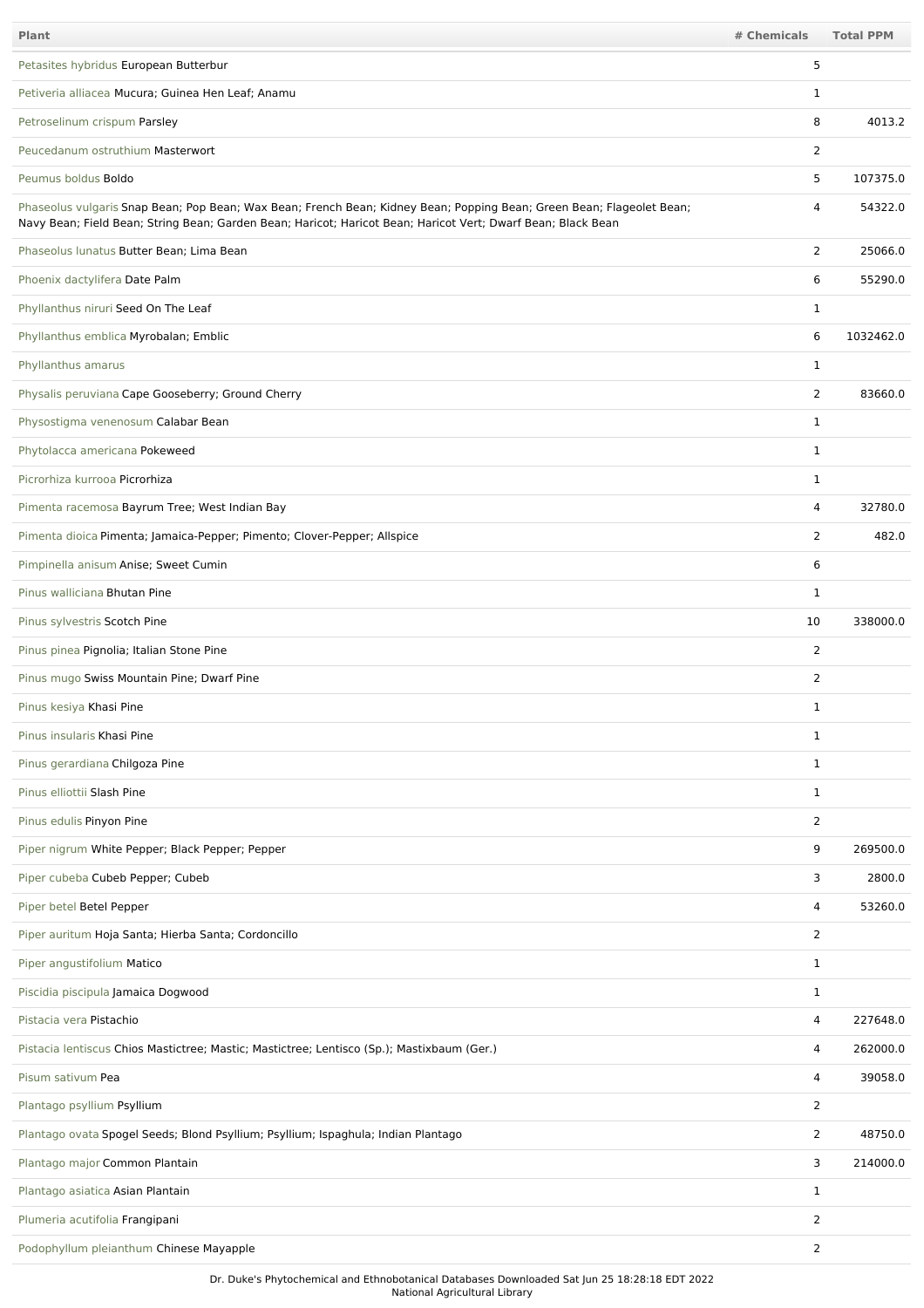| Plant                                                                                                                                                                                                                                 | # Chemicals    | <b>Total PPM</b> |
|---------------------------------------------------------------------------------------------------------------------------------------------------------------------------------------------------------------------------------------|----------------|------------------|
| Petasites hybridus European Butterbur                                                                                                                                                                                                 | 5              |                  |
| Petiveria alliacea Mucura; Guinea Hen Leaf; Anamu                                                                                                                                                                                     | $\mathbf{1}$   |                  |
| Petroselinum crispum Parsley                                                                                                                                                                                                          | 8              | 4013.2           |
| Peucedanum ostruthium Masterwort                                                                                                                                                                                                      | $\overline{2}$ |                  |
| Peumus boldus Boldo                                                                                                                                                                                                                   | 5              | 107375.0         |
| Phaseolus vulgaris Snap Bean; Pop Bean; Wax Bean; French Bean; Kidney Bean; Popping Bean; Green Bean; Flageolet Bean;<br>Navy Bean; Field Bean; String Bean; Garden Bean; Haricot; Haricot Bean; Haricot Vert; Dwarf Bean; Black Bean | $\overline{4}$ | 54322.0          |
| Phaseolus lunatus Butter Bean; Lima Bean                                                                                                                                                                                              | 2              | 25066.0          |
| Phoenix dactylifera Date Palm                                                                                                                                                                                                         | 6              | 55290.0          |
| Phyllanthus niruri Seed On The Leaf                                                                                                                                                                                                   | $\mathbf{1}$   |                  |
| Phyllanthus emblica Myrobalan; Emblic                                                                                                                                                                                                 | 6              | 1032462.0        |
| Phyllanthus amarus                                                                                                                                                                                                                    | $\mathbf{1}$   |                  |
| Physalis peruviana Cape Gooseberry; Ground Cherry                                                                                                                                                                                     | $\overline{2}$ | 83660.0          |
| Physostigma venenosum Calabar Bean                                                                                                                                                                                                    | $\mathbf{1}$   |                  |
| Phytolacca americana Pokeweed                                                                                                                                                                                                         | $\mathbf{1}$   |                  |
| Picrorhiza kurrooa Picrorhiza                                                                                                                                                                                                         | $\mathbf{1}$   |                  |
| Pimenta racemosa Bayrum Tree; West Indian Bay                                                                                                                                                                                         | $\overline{4}$ | 32780.0          |
| Pimenta dioica Pimenta; Jamaica-Pepper; Pimento; Clover-Pepper; Allspice                                                                                                                                                              | $\overline{2}$ | 482.0            |
| Pimpinella anisum Anise; Sweet Cumin                                                                                                                                                                                                  | 6              |                  |
| Pinus walliciana Bhutan Pine                                                                                                                                                                                                          | $\mathbf{1}$   |                  |
| Pinus sylvestris Scotch Pine                                                                                                                                                                                                          | 10             | 338000.0         |
| Pinus pinea Pignolia; Italian Stone Pine                                                                                                                                                                                              | $\overline{2}$ |                  |
| Pinus mugo Swiss Mountain Pine; Dwarf Pine                                                                                                                                                                                            | $\overline{2}$ |                  |
| Pinus kesiya Khasi Pine                                                                                                                                                                                                               | $\mathbf{1}$   |                  |
| Pinus insularis Khasi Pine                                                                                                                                                                                                            | $\mathbf{1}$   |                  |
| Pinus gerardiana Chilgoza Pine                                                                                                                                                                                                        | $\mathbf{1}$   |                  |
| Pinus elliottii Slash Pine                                                                                                                                                                                                            | $\mathbf{1}$   |                  |
| Pinus edulis Pinyon Pine                                                                                                                                                                                                              | $\overline{2}$ |                  |
| Piper nigrum White Pepper; Black Pepper; Pepper                                                                                                                                                                                       | 9              | 269500.0         |
| Piper cubeba Cubeb Pepper; Cubeb                                                                                                                                                                                                      | 3              | 2800.0           |
| Piper betel Betel Pepper                                                                                                                                                                                                              | 4              | 53260.0          |
| Piper auritum Hoja Santa; Hierba Santa; Cordoncillo                                                                                                                                                                                   | 2              |                  |
| Piper angustifolium Matico                                                                                                                                                                                                            | $\mathbf{1}$   |                  |
| Piscidia piscipula Jamaica Dogwood                                                                                                                                                                                                    | $\mathbf{1}$   |                  |
| Pistacia vera Pistachio                                                                                                                                                                                                               | $\overline{4}$ | 227648.0         |
| Pistacia lentiscus Chios Mastictree; Mastic; Mastictree; Lentisco (Sp.); Mastixbaum (Ger.)                                                                                                                                            | 4              | 262000.0         |
| Pisum sativum Pea                                                                                                                                                                                                                     | 4              | 39058.0          |
| Plantago psyllium Psyllium                                                                                                                                                                                                            | 2              |                  |
| Plantago ovata Spogel Seeds; Blond Psyllium; Psyllium; Ispaghula; Indian Plantago                                                                                                                                                     | $\overline{2}$ | 48750.0          |
| Plantago major Common Plantain                                                                                                                                                                                                        | 3              | 214000.0         |
| Plantago asiatica Asian Plantain                                                                                                                                                                                                      | $\mathbf{1}$   |                  |
| Plumeria acutifolia Frangipani                                                                                                                                                                                                        | 2              |                  |
| Podophyllum pleianthum Chinese Mayapple                                                                                                                                                                                               | 2              |                  |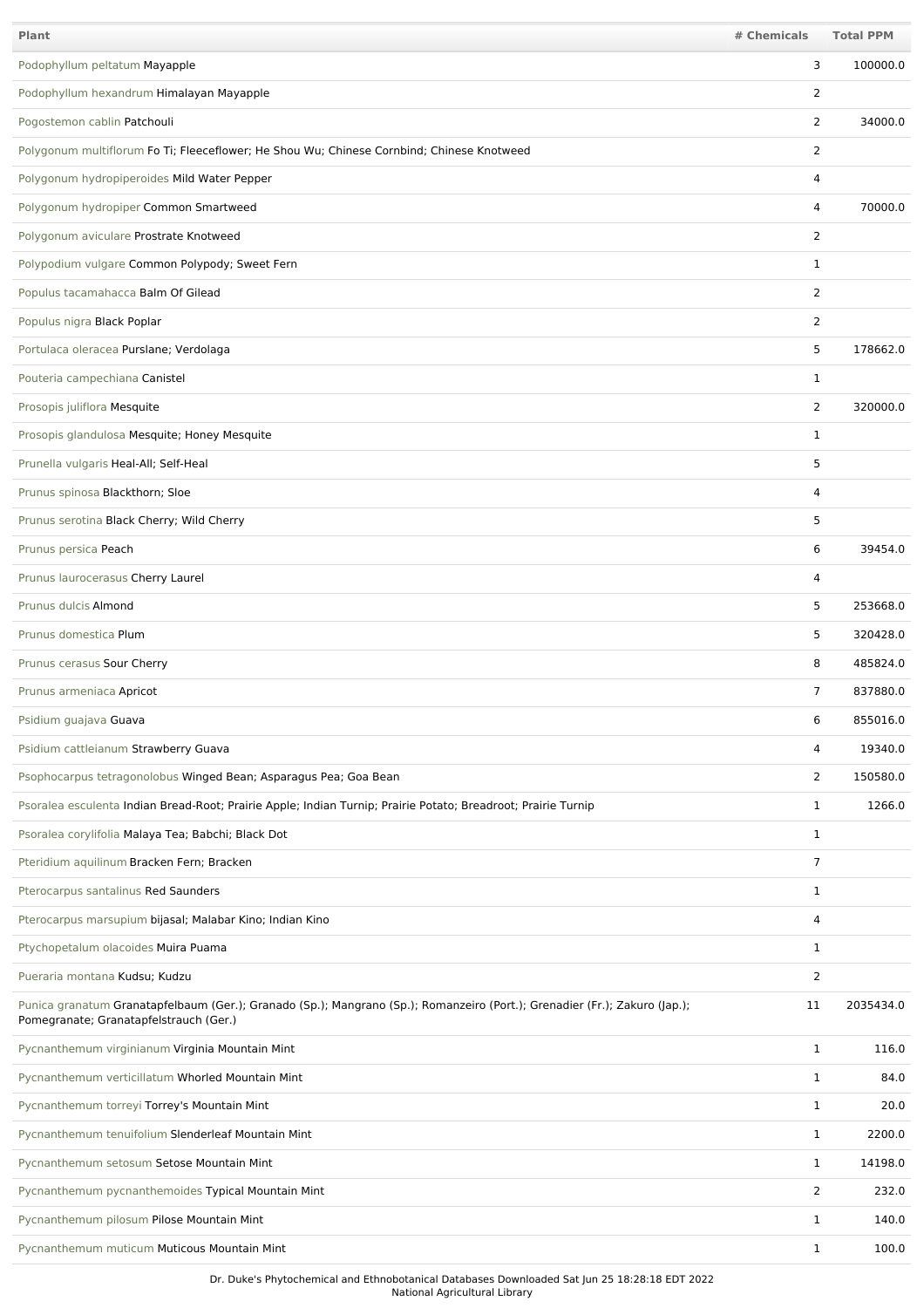| Plant                                                                                                                                                                | # Chemicals    | <b>Total PPM</b> |
|----------------------------------------------------------------------------------------------------------------------------------------------------------------------|----------------|------------------|
| Podophyllum peltatum Mayapple                                                                                                                                        | 3              | 100000.0         |
| Podophyllum hexandrum Himalayan Mayapple                                                                                                                             | 2              |                  |
| Pogostemon cablin Patchouli                                                                                                                                          | $\overline{2}$ | 34000.0          |
| Polygonum multiflorum Fo Ti; Fleeceflower; He Shou Wu; Chinese Cornbind; Chinese Knotweed                                                                            | 2              |                  |
| Polygonum hydropiperoides Mild Water Pepper                                                                                                                          | 4              |                  |
| Polygonum hydropiper Common Smartweed                                                                                                                                | 4              | 70000.0          |
| Polygonum aviculare Prostrate Knotweed                                                                                                                               | $\overline{2}$ |                  |
| Polypodium vulgare Common Polypody; Sweet Fern                                                                                                                       | 1              |                  |
| Populus tacamahacca Balm Of Gilead                                                                                                                                   | 2              |                  |
| Populus nigra Black Poplar                                                                                                                                           | 2              |                  |
| Portulaca oleracea Purslane; Verdolaga                                                                                                                               | 5              | 178662.0         |
| Pouteria campechiana Canistel                                                                                                                                        | $\mathbf{1}$   |                  |
| Prosopis juliflora Mesquite                                                                                                                                          | 2              | 320000.0         |
| Prosopis glandulosa Mesquite; Honey Mesquite                                                                                                                         | $\mathbf{1}$   |                  |
| Prunella vulgaris Heal-All; Self-Heal                                                                                                                                | 5              |                  |
| Prunus spinosa Blackthorn; Sloe                                                                                                                                      | 4              |                  |
| Prunus serotina Black Cherry; Wild Cherry                                                                                                                            | 5              |                  |
| Prunus persica Peach                                                                                                                                                 | 6              | 39454.0          |
| Prunus laurocerasus Cherry Laurel                                                                                                                                    | 4              |                  |
| Prunus dulcis Almond                                                                                                                                                 | 5              | 253668.0         |
| Prunus domestica Plum                                                                                                                                                | 5              | 320428.0         |
| Prunus cerasus Sour Cherry                                                                                                                                           | 8              | 485824.0         |
| Prunus armeniaca Apricot                                                                                                                                             | $\overline{7}$ | 837880.0         |
| Psidium guajava Guava                                                                                                                                                | 6              | 855016.0         |
| Psidium cattleianum Strawberry Guava                                                                                                                                 | 4              | 19340.0          |
| Psophocarpus tetragonolobus Winged Bean; Asparagus Pea; Goa Bean                                                                                                     | $\overline{2}$ | 150580.0         |
| Psoralea esculenta Indian Bread-Root; Prairie Apple; Indian Turnip; Prairie Potato; Breadroot; Prairie Turnip                                                        | $\mathbf{1}$   | 1266.0           |
| Psoralea corylifolia Malaya Tea; Babchi; Black Dot                                                                                                                   | $\mathbf{1}$   |                  |
| Pteridium aquilinum Bracken Fern; Bracken                                                                                                                            | $\overline{7}$ |                  |
| Pterocarpus santalinus Red Saunders                                                                                                                                  | $\mathbf{1}$   |                  |
| Pterocarpus marsupium bijasal; Malabar Kino; Indian Kino                                                                                                             | 4              |                  |
| Ptychopetalum olacoides Muira Puama                                                                                                                                  | $\mathbf{1}$   |                  |
| Pueraria montana Kudsu; Kudzu                                                                                                                                        | $\overline{2}$ |                  |
| Punica granatum Granatapfelbaum (Ger.); Granado (Sp.); Mangrano (Sp.); Romanzeiro (Port.); Grenadier (Fr.); Zakuro (Jap.);<br>Pomegranate; Granatapfelstrauch (Ger.) | 11             | 2035434.0        |
| Pycnanthemum virginianum Virginia Mountain Mint                                                                                                                      | $\mathbf{1}$   | 116.0            |
| Pycnanthemum verticillatum Whorled Mountain Mint                                                                                                                     | $\mathbf{1}$   | 84.0             |
| Pycnanthemum torreyi Torrey's Mountain Mint                                                                                                                          | $\mathbf{1}$   | 20.0             |
| Pycnanthemum tenuifolium Slenderleaf Mountain Mint                                                                                                                   | $\mathbf{1}$   | 2200.0           |
| Pycnanthemum setosum Setose Mountain Mint                                                                                                                            | $\mathbf{1}$   | 14198.0          |
| Pycnanthemum pycnanthemoides Typical Mountain Mint                                                                                                                   | 2              | 232.0            |
| Pycnanthemum pilosum Pilose Mountain Mint                                                                                                                            | 1              | 140.0            |
| Pycnanthemum muticum Muticous Mountain Mint                                                                                                                          | $\mathbf{1}$   | 100.0            |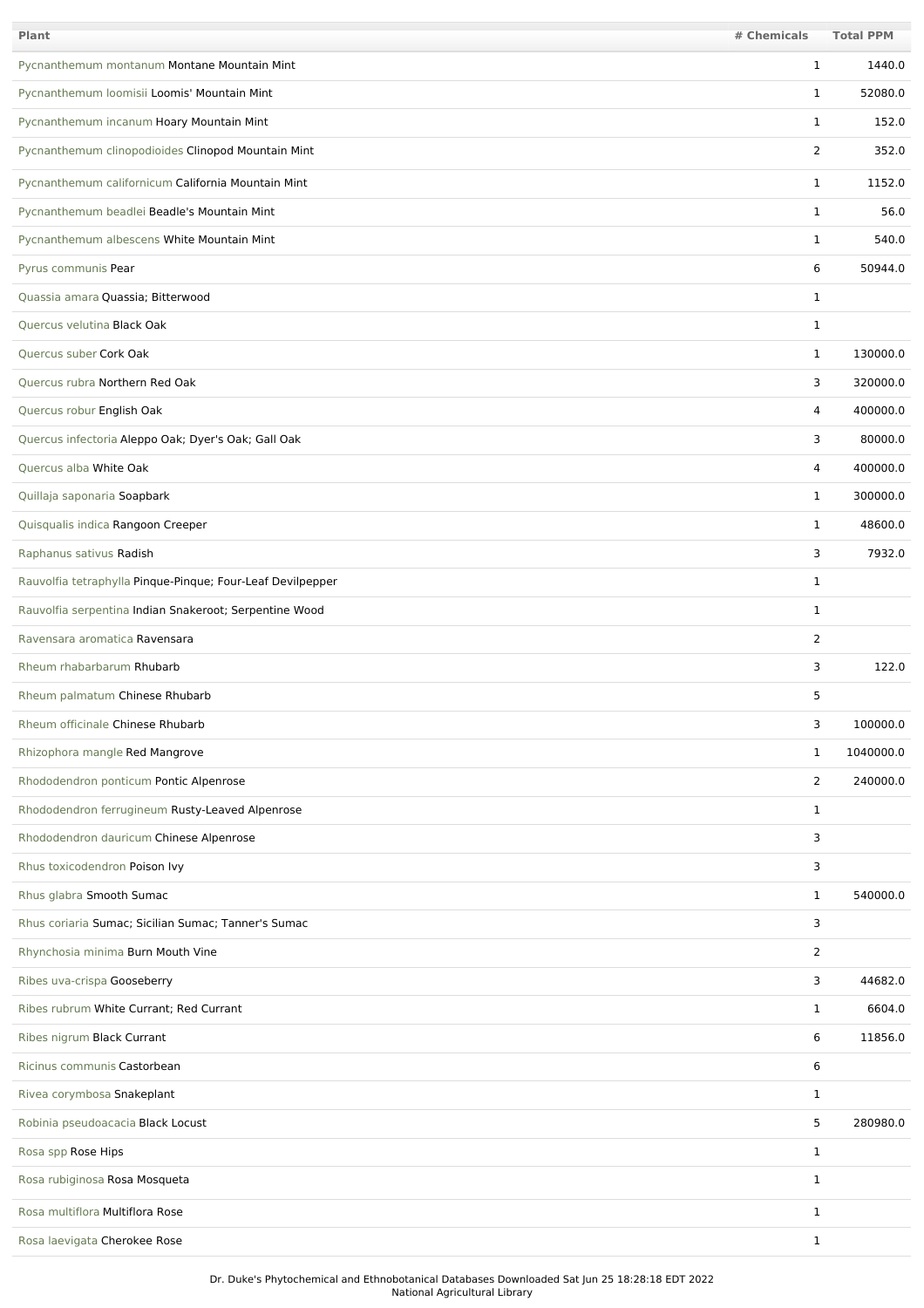| <b>Plant</b>                                               | # Chemicals    | <b>Total PPM</b> |
|------------------------------------------------------------|----------------|------------------|
| Pycnanthemum montanum Montane Mountain Mint                | 1              | 1440.0           |
| Pycnanthemum loomisii Loomis' Mountain Mint                | 1              | 52080.0          |
| Pycnanthemum incanum Hoary Mountain Mint                   | $\mathbf{1}$   | 152.0            |
| Pycnanthemum clinopodioides Clinopod Mountain Mint         | $\overline{2}$ | 352.0            |
| Pycnanthemum californicum California Mountain Mint         | $\mathbf{1}$   | 1152.0           |
| Pycnanthemum beadlei Beadle's Mountain Mint                | $\mathbf{1}$   | 56.0             |
| Pycnanthemum albescens White Mountain Mint                 | $\mathbf{1}$   | 540.0            |
| Pyrus communis Pear                                        | 6              | 50944.0          |
| Quassia amara Quassia; Bitterwood                          | $\mathbf{1}$   |                  |
| Quercus velutina Black Oak                                 | 1              |                  |
| Quercus suber Cork Oak                                     | $\mathbf{1}$   | 130000.0         |
| Quercus rubra Northern Red Oak                             | 3              | 320000.0         |
| Quercus robur English Oak                                  | 4              | 400000.0         |
| Quercus infectoria Aleppo Oak; Dyer's Oak; Gall Oak        | 3              | 80000.0          |
| <b>Ouercus alba White Oak</b>                              | 4              | 400000.0         |
| Quillaja saponaria Soapbark                                | $\mathbf{1}$   | 300000.0         |
| Quisqualis indica Rangoon Creeper                          | $\mathbf{1}$   | 48600.0          |
| Raphanus sativus Radish                                    | 3              | 7932.0           |
| Rauvolfia tetraphylla Pinque-Pinque; Four-Leaf Devilpepper | $\mathbf 1$    |                  |
| Rauvolfia serpentina Indian Snakeroot; Serpentine Wood     | $\mathbf 1$    |                  |
| Ravensara aromatica Ravensara                              | 2              |                  |
| Rheum rhabarbarum Rhubarb                                  | 3              | 122.0            |
| Rheum palmatum Chinese Rhubarb                             | 5              |                  |
| Rheum officinale Chinese Rhubarb                           | 3              | 100000.0         |
| Rhizophora mangle Red Mangrove                             | $\mathbf{1}$   | 1040000.0        |
| Rhododendron ponticum Pontic Alpenrose                     | 2              | 240000.0         |
| Rhododendron ferrugineum Rusty-Leaved Alpenrose            | $\mathbf{1}$   |                  |
| Rhododendron dauricum Chinese Alpenrose                    | 3              |                  |
| Rhus toxicodendron Poison Ivy                              | 3              |                  |
| Rhus glabra Smooth Sumac                                   | $\mathbf{1}$   | 540000.0         |
| Rhus coriaria Sumac; Sicilian Sumac; Tanner's Sumac        | 3              |                  |
| Rhynchosia minima Burn Mouth Vine                          | $\overline{2}$ |                  |
| Ribes uva-crispa Gooseberry                                | 3              | 44682.0          |
| Ribes rubrum White Currant; Red Currant                    | $\mathbf{1}$   | 6604.0           |
| Ribes nigrum Black Currant                                 | 6              | 11856.0          |
| Ricinus communis Castorbean                                | 6              |                  |
| Rivea corymbosa Snakeplant                                 | $\mathbf{1}$   |                  |
| Robinia pseudoacacia Black Locust                          | 5              | 280980.0         |
| Rosa spp Rose Hips                                         | $\mathbf{1}$   |                  |
| Rosa rubiginosa Rosa Mosqueta                              | $\mathbf{1}$   |                  |
| Rosa multiflora Multiflora Rose                            | $\mathbf{1}$   |                  |
| Rosa laevigata Cherokee Rose                               | $\mathbf{1}$   |                  |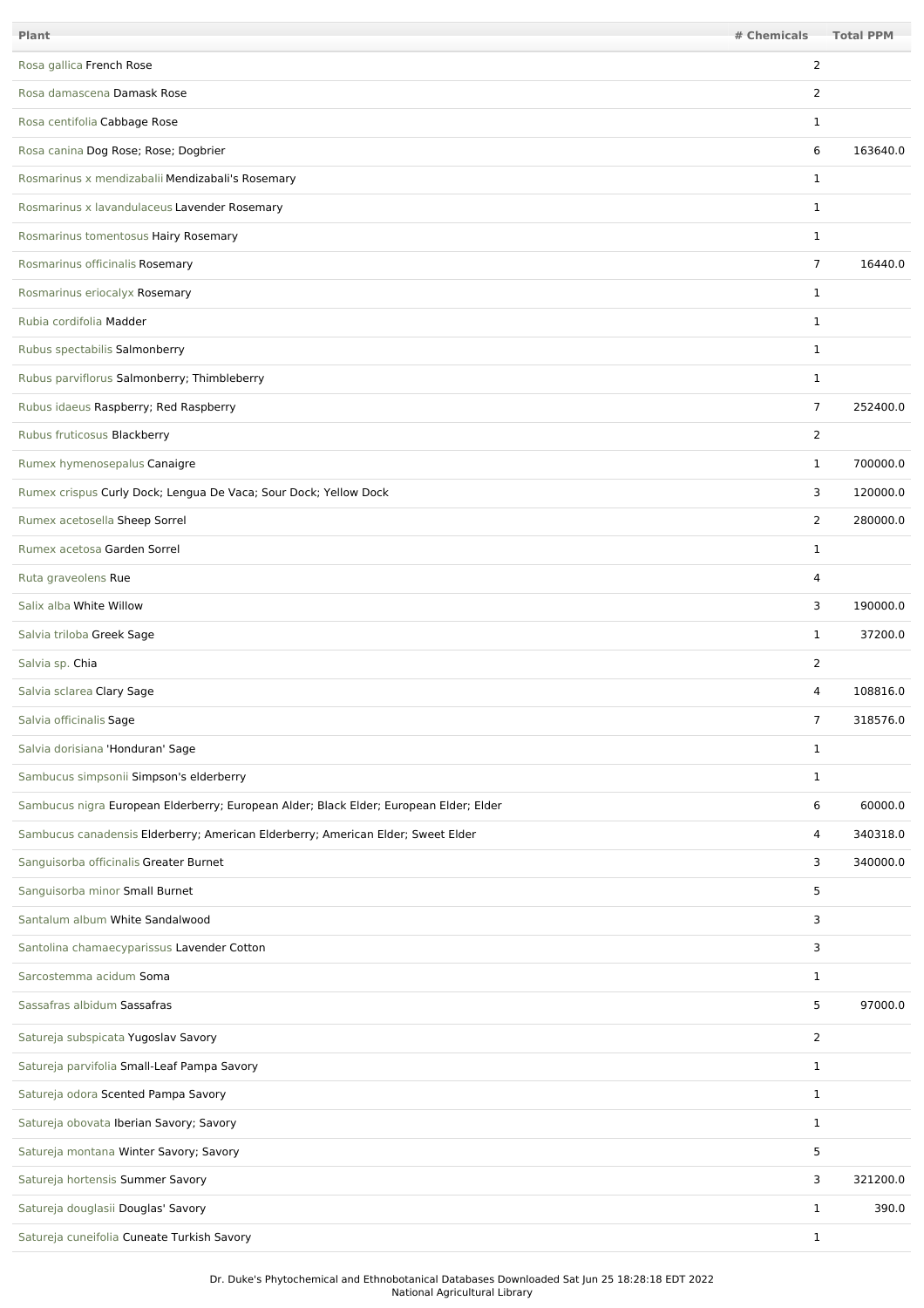| Plant                                                                                  | # Chemicals    | <b>Total PPM</b> |
|----------------------------------------------------------------------------------------|----------------|------------------|
| Rosa gallica French Rose                                                               | $\overline{2}$ |                  |
| Rosa damascena Damask Rose                                                             | $\overline{2}$ |                  |
| Rosa centifolia Cabbage Rose                                                           | 1              |                  |
| Rosa canina Dog Rose; Rose; Dogbrier                                                   | 6              | 163640.0         |
| Rosmarinus x mendizabalii Mendizabali's Rosemary                                       | $\mathbf{1}$   |                  |
| Rosmarinus x lavandulaceus Lavender Rosemary                                           | $\mathbf{1}$   |                  |
| Rosmarinus tomentosus Hairy Rosemary                                                   | $\mathbf{1}$   |                  |
| Rosmarinus officinalis Rosemary                                                        | $\overline{7}$ | 16440.0          |
| Rosmarinus eriocalyx Rosemary                                                          | $\mathbf{1}$   |                  |
| Rubia cordifolia Madder                                                                | $\mathbf{1}$   |                  |
| Rubus spectabilis Salmonberry                                                          | $\mathbf 1$    |                  |
| Rubus parviflorus Salmonberry; Thimbleberry                                            | $\mathbf{1}$   |                  |
| Rubus idaeus Raspberry; Red Raspberry                                                  | 7              | 252400.0         |
| Rubus fruticosus Blackberry                                                            | 2              |                  |
| Rumex hymenosepalus Canaigre                                                           | 1              | 700000.0         |
| Rumex crispus Curly Dock; Lengua De Vaca; Sour Dock; Yellow Dock                       | 3              | 120000.0         |
| Rumex acetosella Sheep Sorrel                                                          | $\overline{2}$ | 280000.0         |
| Rumex acetosa Garden Sorrel                                                            | $\mathbf{1}$   |                  |
| Ruta graveolens Rue                                                                    | 4              |                  |
| Salix alba White Willow                                                                | 3              | 190000.0         |
| Salvia triloba Greek Sage                                                              | $\mathbf{1}$   | 37200.0          |
| Salvia sp. Chia                                                                        | $\overline{2}$ |                  |
| Salvia sclarea Clary Sage                                                              | 4              | 108816.0         |
| Salvia officinalis Sage                                                                | 7              | 318576.0         |
| Salvia dorisiana 'Honduran' Sage                                                       | $\mathbf{1}$   |                  |
| Sambucus simpsonii Simpson's elderberry                                                | $\mathbf{1}$   |                  |
| Sambucus nigra European Elderberry; European Alder; Black Elder; European Elder; Elder | 6              | 60000.0          |
| Sambucus canadensis Elderberry; American Elderberry; American Elder; Sweet Elder       | $\overline{4}$ | 340318.0         |
| Sanguisorba officinalis Greater Burnet                                                 | 3              | 340000.0         |
| Sanguisorba minor Small Burnet                                                         | 5              |                  |
| Santalum album White Sandalwood                                                        | 3              |                  |
| Santolina chamaecyparissus Lavender Cotton                                             | 3              |                  |
| Sarcostemma acidum Soma                                                                | $\mathbf{1}$   |                  |
| Sassafras albidum Sassafras                                                            | 5              | 97000.0          |
| Satureja subspicata Yugoslav Savory                                                    | $\overline{2}$ |                  |
| Satureja parvifolia Small-Leaf Pampa Savory                                            | $\mathbf{1}$   |                  |
| Satureja odora Scented Pampa Savory                                                    | $\mathbf{1}$   |                  |
| Satureja obovata Iberian Savory; Savory                                                | $\mathbf{1}$   |                  |
| Satureja montana Winter Savory; Savory                                                 | 5              |                  |
| Satureja hortensis Summer Savory                                                       | 3              | 321200.0         |
| Satureja douglasii Douglas' Savory                                                     | $\mathbf{1}$   | 390.0            |
| Satureja cuneifolia Cuneate Turkish Savory                                             | $\mathbf{1}$   |                  |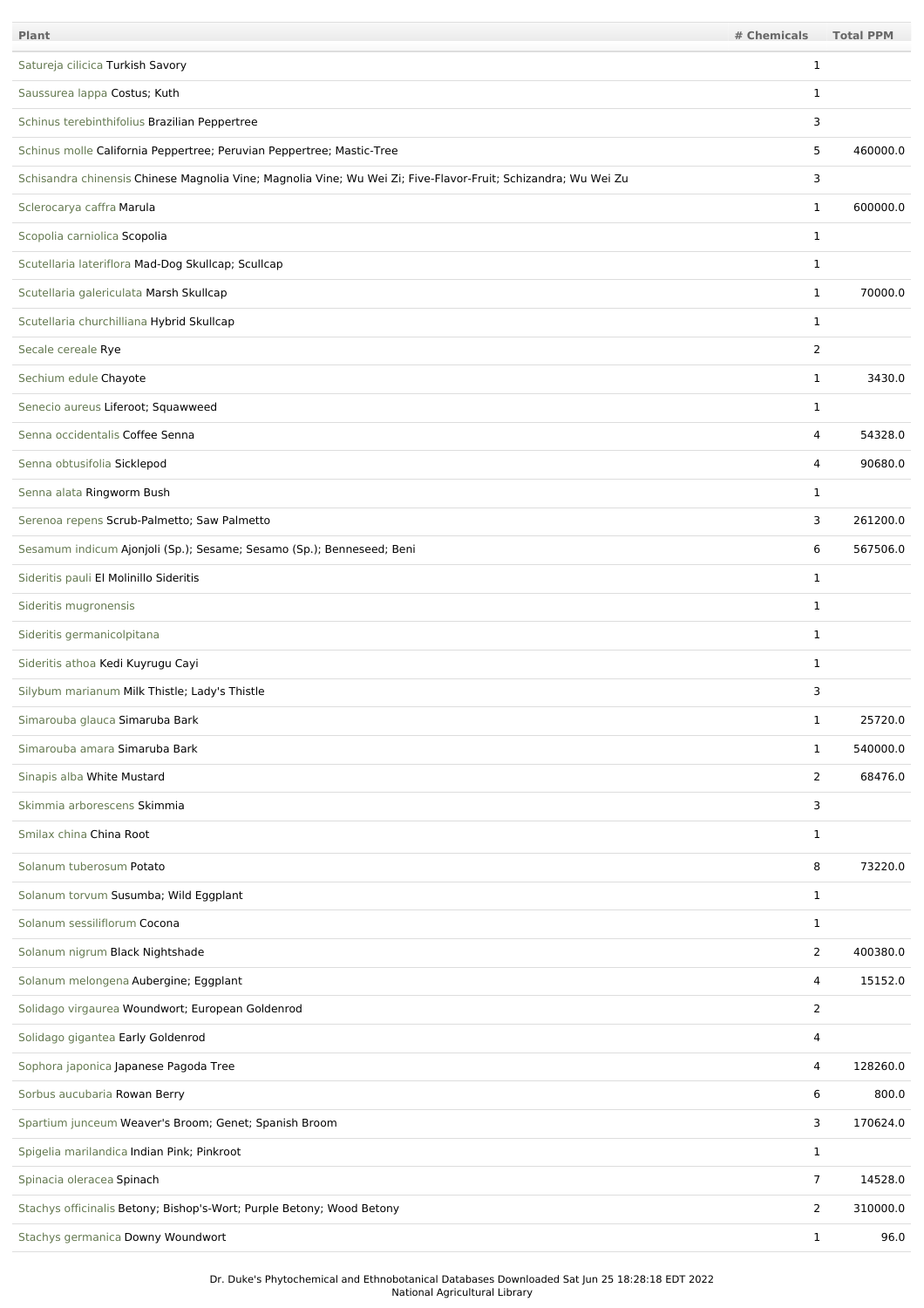| <b>Plant</b>                                                                                                   | # Chemicals    | <b>Total PPM</b> |
|----------------------------------------------------------------------------------------------------------------|----------------|------------------|
| Satureja cilicica Turkish Savory                                                                               | 1              |                  |
| Saussurea lappa Costus; Kuth                                                                                   | 1              |                  |
| Schinus terebinthifolius Brazilian Peppertree                                                                  | 3              |                  |
| Schinus molle California Peppertree; Peruvian Peppertree; Mastic-Tree                                          | 5              | 460000.0         |
| Schisandra chinensis Chinese Magnolia Vine; Magnolia Vine; Wu Wei Zi; Five-Flavor-Fruit; Schizandra; Wu Wei Zu | 3              |                  |
| Sclerocarya caffra Marula                                                                                      | $\mathbf{1}$   | 600000.0         |
| Scopolia carniolica Scopolia                                                                                   | $\mathbf{1}$   |                  |
| Scutellaria lateriflora Mad-Dog Skullcap; Scullcap                                                             | $\mathbf{1}$   |                  |
| Scutellaria galericulata Marsh Skullcap                                                                        | $\mathbf{1}$   | 70000.0          |
| Scutellaria churchilliana Hybrid Skullcap                                                                      | $\mathbf{1}$   |                  |
| Secale cereale Rye                                                                                             | $\overline{2}$ |                  |
| Sechium edule Chayote                                                                                          | $\mathbf 1$    | 3430.0           |
| Senecio aureus Liferoot; Squawweed                                                                             | $\mathbf{1}$   |                  |
| Senna occidentalis Coffee Senna                                                                                | 4              | 54328.0          |
| Senna obtusifolia Sicklepod                                                                                    | 4              | 90680.0          |
| Senna alata Ringworm Bush                                                                                      | $\mathbf{1}$   |                  |
| Serenoa repens Scrub-Palmetto; Saw Palmetto                                                                    | 3              | 261200.0         |
| Sesamum indicum Ajonjoli (Sp.); Sesame; Sesamo (Sp.); Benneseed; Beni                                          | 6              | 567506.0         |
| Sideritis pauli El Molinillo Sideritis                                                                         | $\mathbf{1}$   |                  |
| Sideritis mugronensis                                                                                          | $\mathbf 1$    |                  |
| Sideritis germanicolpitana                                                                                     | $\mathbf 1$    |                  |
| Sideritis athoa Kedi Kuyrugu Cayi                                                                              | 1              |                  |
| Silybum marianum Milk Thistle; Lady's Thistle                                                                  | 3              |                  |
| Simarouba glauca Simaruba Bark                                                                                 | 1              | 25720.0          |
| Simarouba amara Simaruba Bark                                                                                  | $\mathbf{1}$   | 540000.0         |
| Sinapis alba White Mustard                                                                                     | $\overline{2}$ | 68476.0          |
| Skimmia arborescens Skimmia                                                                                    | 3              |                  |
| Smilax china China Root                                                                                        | $\mathbf{1}$   |                  |
| Solanum tuberosum Potato                                                                                       | 8              | 73220.0          |
| Solanum torvum Susumba; Wild Eggplant                                                                          | $\mathbf{1}$   |                  |
| Solanum sessiliflorum Cocona                                                                                   | $\mathbf{1}$   |                  |
| Solanum nigrum Black Nightshade                                                                                | $\overline{2}$ | 400380.0         |
| Solanum melongena Aubergine; Eggplant                                                                          | 4              | 15152.0          |
| Solidago virgaurea Woundwort; European Goldenrod                                                               | $\overline{2}$ |                  |
| Solidago gigantea Early Goldenrod                                                                              | 4              |                  |
| Sophora japonica Japanese Pagoda Tree                                                                          | 4              | 128260.0         |
| Sorbus aucubaria Rowan Berry                                                                                   | 6              | 800.0            |
| Spartium junceum Weaver's Broom; Genet; Spanish Broom                                                          | 3              | 170624.0         |
| Spigelia marilandica Indian Pink; Pinkroot                                                                     | $\mathbf{1}$   |                  |
| Spinacia oleracea Spinach                                                                                      | 7              | 14528.0          |
| Stachys officinalis Betony; Bishop's-Wort; Purple Betony; Wood Betony                                          | 2              | 310000.0         |
| Stachys germanica Downy Woundwort                                                                              | $\mathbf{1}$   | 96.0             |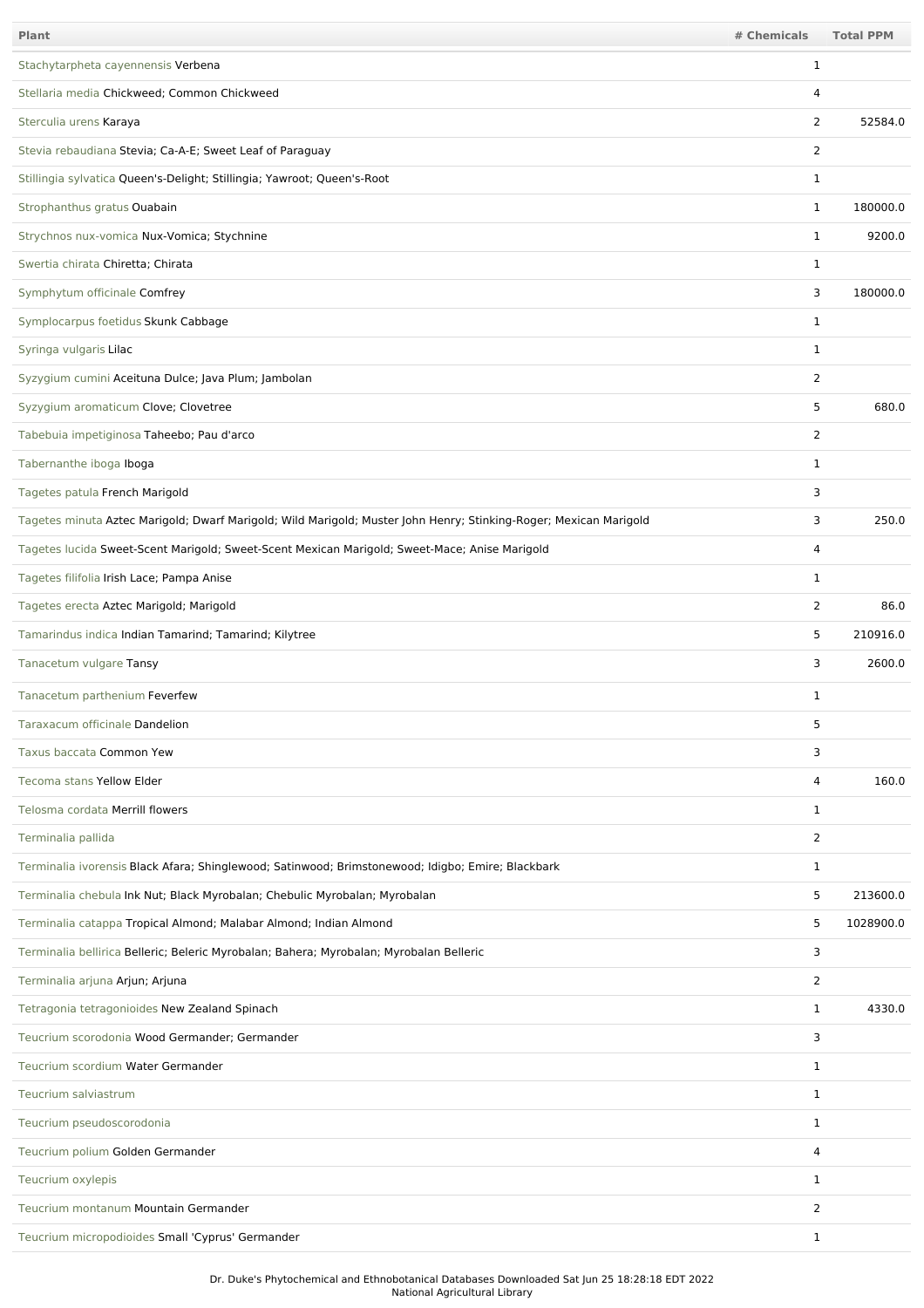| Plant                                                                                                             | # Chemicals    | <b>Total PPM</b> |
|-------------------------------------------------------------------------------------------------------------------|----------------|------------------|
| Stachytarpheta cayennensis Verbena                                                                                | $\mathbf{1}$   |                  |
| Stellaria media Chickweed; Common Chickweed                                                                       | 4              |                  |
| Sterculia urens Karaya                                                                                            | $\overline{2}$ | 52584.0          |
| Stevia rebaudiana Stevia; Ca-A-E; Sweet Leaf of Paraguay                                                          | $\overline{2}$ |                  |
| Stillingia sylvatica Queen's-Delight; Stillingia; Yawroot; Queen's-Root                                           | 1              |                  |
| Strophanthus gratus Ouabain                                                                                       | $\mathbf 1$    | 180000.0         |
| Strychnos nux-vomica Nux-Vomica; Stychnine                                                                        | $\mathbf{1}$   | 9200.0           |
| Swertia chirata Chiretta; Chirata                                                                                 | 1              |                  |
| Symphytum officinale Comfrey                                                                                      | 3              | 180000.0         |
| Symplocarpus foetidus Skunk Cabbage                                                                               | 1              |                  |
| Syringa vulgaris Lilac                                                                                            | 1              |                  |
| Syzygium cumini Aceituna Dulce; Java Plum; Jambolan                                                               | 2              |                  |
| Syzygium aromaticum Clove; Clovetree                                                                              | 5              | 680.0            |
| Tabebuia impetiginosa Taheebo; Pau d'arco                                                                         | 2              |                  |
| Tabernanthe iboga Iboga                                                                                           | $\mathbf 1$    |                  |
| Tagetes patula French Marigold                                                                                    | 3              |                  |
| Tagetes minuta Aztec Marigold; Dwarf Marigold; Wild Marigold; Muster John Henry; Stinking-Roger; Mexican Marigold | 3              | 250.0            |
| Tagetes lucida Sweet-Scent Marigold; Sweet-Scent Mexican Marigold; Sweet-Mace; Anise Marigold                     | 4              |                  |
| Tagetes filifolia Irish Lace; Pampa Anise                                                                         | $\mathbf 1$    |                  |
| Tagetes erecta Aztec Marigold; Marigold                                                                           | $\overline{2}$ | 86.0             |
| Tamarindus indica Indian Tamarind; Tamarind; Kilytree                                                             | 5              | 210916.0         |
| Tanacetum vulgare Tansy                                                                                           | 3              | 2600.0           |
| Tanacetum parthenium Feverfew                                                                                     | $\mathbf 1$    |                  |
| Taraxacum officinale Dandelion                                                                                    | 5              |                  |
| Taxus baccata Common Yew                                                                                          | 3              |                  |
| Tecoma stans Yellow Elder                                                                                         | 4              | 160.0            |
| Telosma cordata Merrill flowers                                                                                   | $\mathbf 1$    |                  |
| Terminalia pallida                                                                                                | 2              |                  |
| Terminalia ivorensis Black Afara; Shinglewood; Satinwood; Brimstonewood; Idigbo; Emire; Blackbark                 | 1              |                  |
| Terminalia chebula Ink Nut; Black Myrobalan; Chebulic Myrobalan; Myrobalan                                        | 5              | 213600.0         |
| Terminalia catappa Tropical Almond; Malabar Almond; Indian Almond                                                 | 5              | 1028900.0        |
| Terminalia bellirica Belleric; Beleric Myrobalan; Bahera; Myrobalan; Myrobalan Belleric                           | 3              |                  |
| Terminalia arjuna Arjun; Arjuna                                                                                   | $\overline{2}$ |                  |
| Tetragonia tetragonioides New Zealand Spinach                                                                     | $\mathbf 1$    | 4330.0           |
| Teucrium scorodonia Wood Germander; Germander                                                                     | 3              |                  |
| Teucrium scordium Water Germander                                                                                 | $\mathbf{1}$   |                  |
| Teucrium salviastrum                                                                                              | $\mathbf{1}$   |                  |
| Teucrium pseudoscorodonia                                                                                         | $\mathbf{1}$   |                  |
| Teucrium polium Golden Germander                                                                                  | 4              |                  |
| Teucrium oxylepis                                                                                                 | $\mathbf 1$    |                  |
| Teucrium montanum Mountain Germander                                                                              | 2              |                  |
| Teucrium micropodioides Small 'Cyprus' Germander                                                                  | 1              |                  |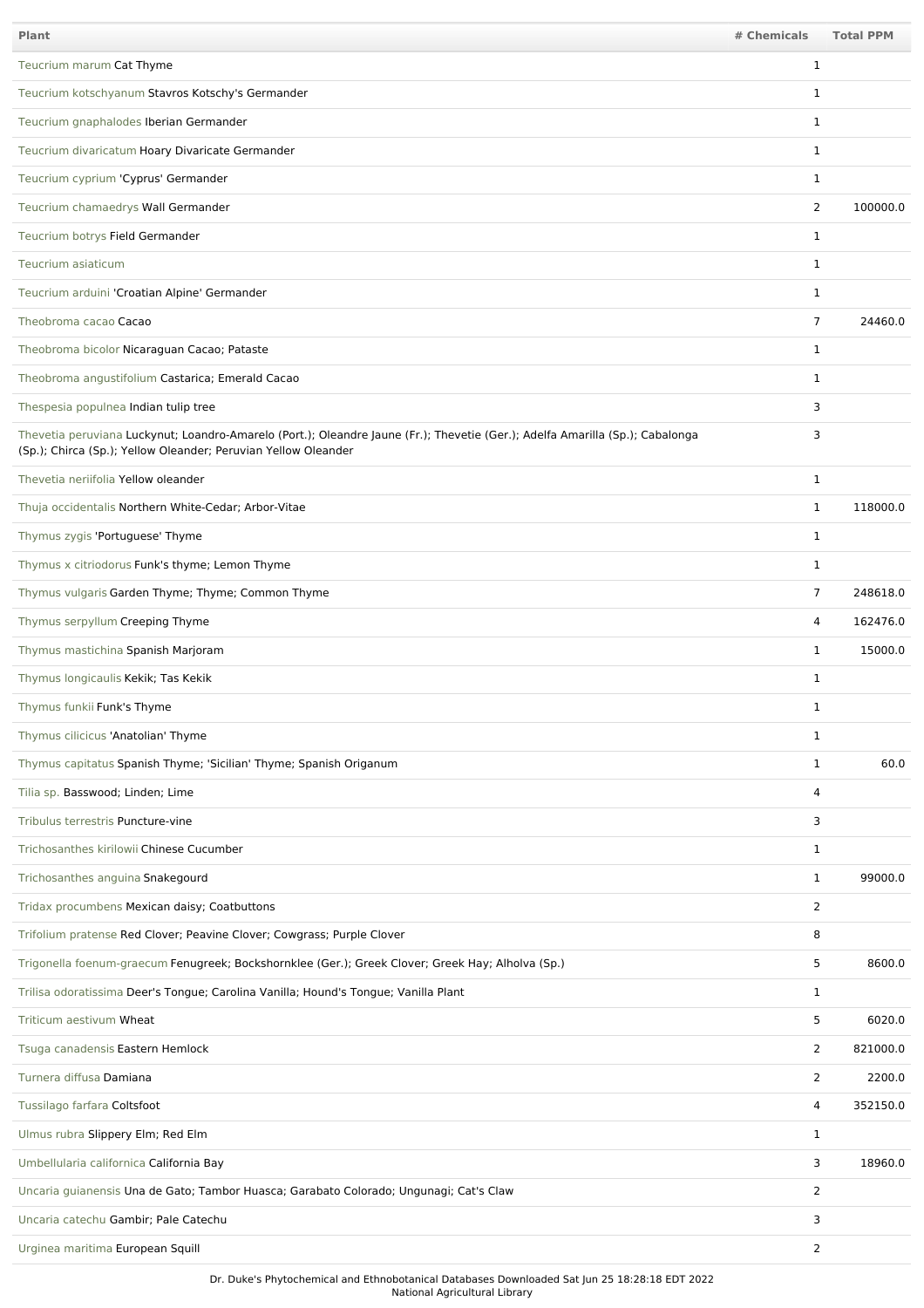| Plant                                                                                                                                                                                           | # Chemicals    | <b>Total PPM</b> |
|-------------------------------------------------------------------------------------------------------------------------------------------------------------------------------------------------|----------------|------------------|
| Teucrium marum Cat Thyme                                                                                                                                                                        | 1              |                  |
| Teucrium kotschyanum Stavros Kotschy's Germander                                                                                                                                                | $\mathbf{1}$   |                  |
| Teucrium gnaphalodes Iberian Germander                                                                                                                                                          | $\mathbf{1}$   |                  |
| Teucrium divaricatum Hoary Divaricate Germander                                                                                                                                                 | $\mathbf{1}$   |                  |
| Teucrium cyprium 'Cyprus' Germander                                                                                                                                                             | $\mathbf{1}$   |                  |
| Teucrium chamaedrys Wall Germander                                                                                                                                                              | 2              | 100000.0         |
| Teucrium botrys Field Germander                                                                                                                                                                 | $\mathbf 1$    |                  |
| Teucrium asiaticum                                                                                                                                                                              | 1              |                  |
| Teucrium arduini 'Croatian Alpine' Germander                                                                                                                                                    | 1              |                  |
| Theobroma cacao Cacao                                                                                                                                                                           | $\overline{7}$ | 24460.0          |
| Theobroma bicolor Nicaraguan Cacao; Pataste                                                                                                                                                     | $\mathbf{1}$   |                  |
| Theobroma angustifolium Castarica; Emerald Cacao                                                                                                                                                | $\mathbf{1}$   |                  |
| Thespesia populnea Indian tulip tree                                                                                                                                                            | 3              |                  |
| Thevetia peruviana Luckynut; Loandro-Amarelo (Port.); Oleandre Jaune (Fr.); Thevetie (Ger.); Adelfa Amarilla (Sp.); Cabalonga<br>(Sp.); Chirca (Sp.); Yellow Oleander; Peruvian Yellow Oleander | 3              |                  |
| Thevetia neriifolia Yellow oleander                                                                                                                                                             | $\mathbf{1}$   |                  |
| Thuja occidentalis Northern White-Cedar; Arbor-Vitae                                                                                                                                            | $\mathbf{1}$   | 118000.0         |
| Thymus zygis 'Portuguese' Thyme                                                                                                                                                                 | $\mathbf{1}$   |                  |
| Thymus x citriodorus Funk's thyme; Lemon Thyme                                                                                                                                                  | $\mathbf{1}$   |                  |
| Thymus vulgaris Garden Thyme; Thyme; Common Thyme                                                                                                                                               | 7              | 248618.0         |
| Thymus serpyllum Creeping Thyme                                                                                                                                                                 | 4              | 162476.0         |
| Thymus mastichina Spanish Marjoram                                                                                                                                                              | 1              | 15000.0          |
| Thymus longicaulis Kekik; Tas Kekik                                                                                                                                                             | $\mathbf{1}$   |                  |
| Thymus funkii Funk's Thyme                                                                                                                                                                      | 1              |                  |
| Thymus cilicicus 'Anatolian' Thyme                                                                                                                                                              | $\mathbf{1}$   |                  |
| Thymus capitatus Spanish Thyme; 'Sicilian' Thyme; Spanish Origanum                                                                                                                              | $\mathbf{1}$   | 60.0             |
| Tilia sp. Basswood; Linden; Lime                                                                                                                                                                | 4              |                  |
| Tribulus terrestris Puncture-vine                                                                                                                                                               | 3              |                  |
| Trichosanthes kirilowii Chinese Cucumber                                                                                                                                                        | $\mathbf{1}$   |                  |
| Trichosanthes anguina Snakegourd                                                                                                                                                                | $\mathbf{1}$   | 99000.0          |
| Tridax procumbens Mexican daisy; Coatbuttons                                                                                                                                                    | 2              |                  |
| Trifolium pratense Red Clover; Peavine Clover; Cowgrass; Purple Clover                                                                                                                          | 8              |                  |
| Trigonella foenum-graecum Fenugreek; Bockshornklee (Ger.); Greek Clover; Greek Hay; Alholva (Sp.)                                                                                               | 5              | 8600.0           |
| Trilisa odoratissima Deer's Tongue; Carolina Vanilla; Hound's Tongue; Vanilla Plant                                                                                                             | $\mathbf{1}$   |                  |
| Triticum aestivum Wheat                                                                                                                                                                         | 5              | 6020.0           |
| Tsuga canadensis Eastern Hemlock                                                                                                                                                                | 2              | 821000.0         |
| Turnera diffusa Damiana                                                                                                                                                                         | 2              | 2200.0           |
| Tussilago farfara Coltsfoot                                                                                                                                                                     | 4              | 352150.0         |
| Ulmus rubra Slippery Elm; Red Elm                                                                                                                                                               | $\mathbf{1}$   |                  |
| Umbellularia californica California Bay                                                                                                                                                         | 3              | 18960.0          |
| Uncaria guianensis Una de Gato; Tambor Huasca; Garabato Colorado; Ungunagi; Cat's Claw                                                                                                          | $\overline{2}$ |                  |
| Uncaria catechu Gambir; Pale Catechu                                                                                                                                                            | 3              |                  |
| Urginea maritima European Squill                                                                                                                                                                | $\overline{2}$ |                  |